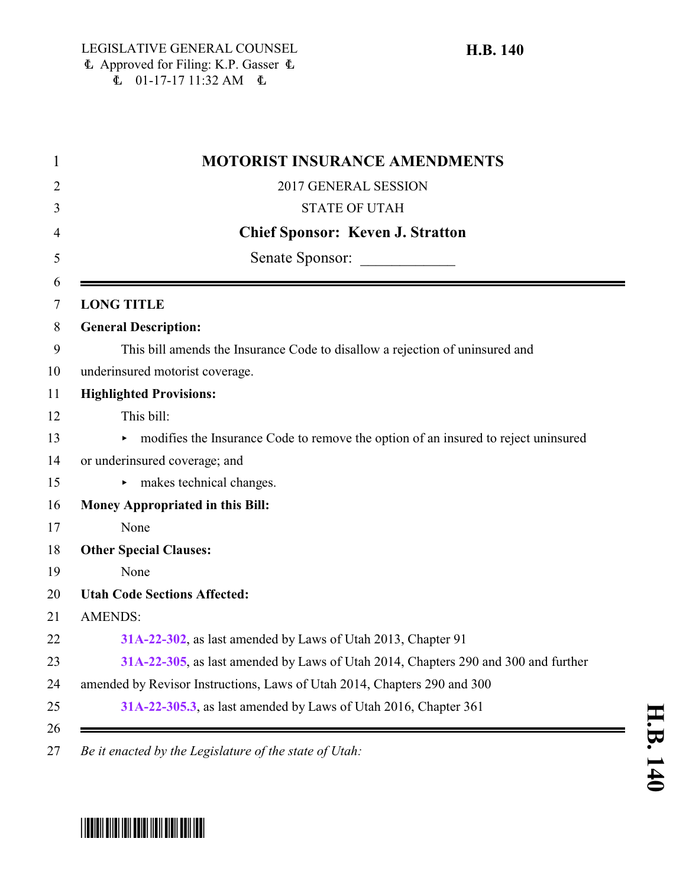| <b>MOTORIST INSURANCE AMENDMENTS</b>                                                    |
|-----------------------------------------------------------------------------------------|
| 2017 GENERAL SESSION                                                                    |
| <b>STATE OF UTAH</b>                                                                    |
| <b>Chief Sponsor: Keven J. Stratton</b>                                                 |
| Senate Sponsor:                                                                         |
| <b>LONG TITLE</b>                                                                       |
| <b>General Description:</b>                                                             |
| This bill amends the Insurance Code to disallow a rejection of uninsured and            |
| underinsured motorist coverage.                                                         |
| <b>Highlighted Provisions:</b>                                                          |
| This bill:                                                                              |
| modifies the Insurance Code to remove the option of an insured to reject uninsured<br>▶ |
| or underinsured coverage; and                                                           |
| $\triangleright$ makes technical changes.                                               |
| <b>Money Appropriated in this Bill:</b>                                                 |
| None                                                                                    |
| <b>Other Special Clauses:</b>                                                           |
| None                                                                                    |
| <b>Utah Code Sections Affected:</b>                                                     |
| <b>AMENDS:</b>                                                                          |
| 31A-22-302, as last amended by Laws of Utah 2013, Chapter 91                            |
| 31A-22-305, as last amended by Laws of Utah 2014, Chapters 290 and 300 and further      |
| amended by Revisor Instructions, Laws of Utah 2014, Chapters 290 and 300                |
| 31A-22-305.3, as last amended by Laws of Utah 2016, Chapter 361                         |

*Be it enacted by the Legislature of the state of Utah:*

# \*HB0140\*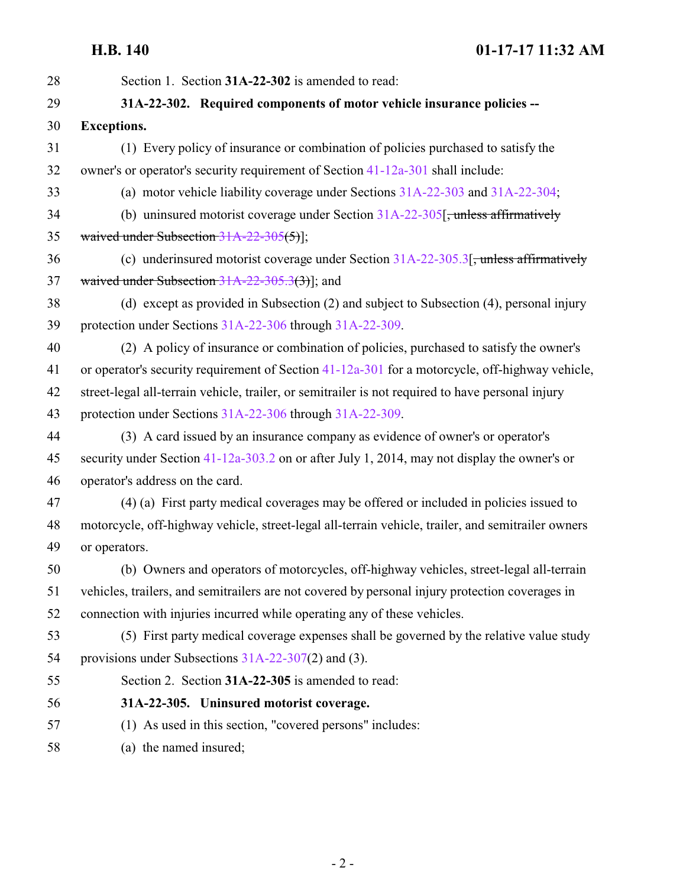<span id="page-1-1"></span><span id="page-1-0"></span>

| 28 | Section 1. Section 31A-22-302 is amended to read:                                                  |
|----|----------------------------------------------------------------------------------------------------|
| 29 | 31A-22-302. Required components of motor vehicle insurance policies --                             |
| 30 | <b>Exceptions.</b>                                                                                 |
| 31 | (1) Every policy of insurance or combination of policies purchased to satisfy the                  |
| 32 | owner's or operator's security requirement of Section 41-12a-301 shall include:                    |
| 33 | (a) motor vehicle liability coverage under Sections $31A-22-303$ and $31A-22-304$ ;                |
| 34 | (b) uninsured motorist coverage under Section $31A-22-305$ , unless affirmatively                  |
| 35 | waived under Subsection $31A-22-305(5)$ ;                                                          |
| 36 | (c) underinsured motorist coverage under Section $31A-22-305.3$ [, unless affirmatively            |
| 37 | waived under Subsection $31A-22-305.3(3)$ ; and                                                    |
| 38 | (d) except as provided in Subsection (2) and subject to Subsection (4), personal injury            |
| 39 | protection under Sections 31A-22-306 through 31A-22-309.                                           |
| 40 | (2) A policy of insurance or combination of policies, purchased to satisfy the owner's             |
| 41 | or operator's security requirement of Section 41-12a-301 for a motorcycle, off-highway vehicle,    |
| 42 | street-legal all-terrain vehicle, trailer, or semitrailer is not required to have personal injury  |
| 43 | protection under Sections 31A-22-306 through 31A-22-309.                                           |
| 44 | (3) A card issued by an insurance company as evidence of owner's or operator's                     |
| 45 | security under Section $41-12a-303.2$ on or after July 1, 2014, may not display the owner's or     |
| 46 | operator's address on the card.                                                                    |
| 47 | (4) (a) First party medical coverages may be offered or included in policies issued to             |
| 48 | motorcycle, off-highway vehicle, street-legal all-terrain vehicle, trailer, and semitrailer owners |
| 49 | or operators.                                                                                      |
| 50 | (b) Owners and operators of motorcycles, off-highway vehicles, street-legal all-terrain            |
| 51 | vehicles, trailers, and semitrailers are not covered by personal injury protection coverages in    |
| 52 | connection with injuries incurred while operating any of these vehicles.                           |
| 53 | (5) First party medical coverage expenses shall be governed by the relative value study            |
| 54 | provisions under Subsections $31A-22-307(2)$ and (3).                                              |
| 55 | Section 2. Section 31A-22-305 is amended to read:                                                  |
| 56 | 31A-22-305. Uninsured motorist coverage.                                                           |
| 57 | (1) As used in this section, "covered persons" includes:                                           |
| 58 | (a) the named insured;                                                                             |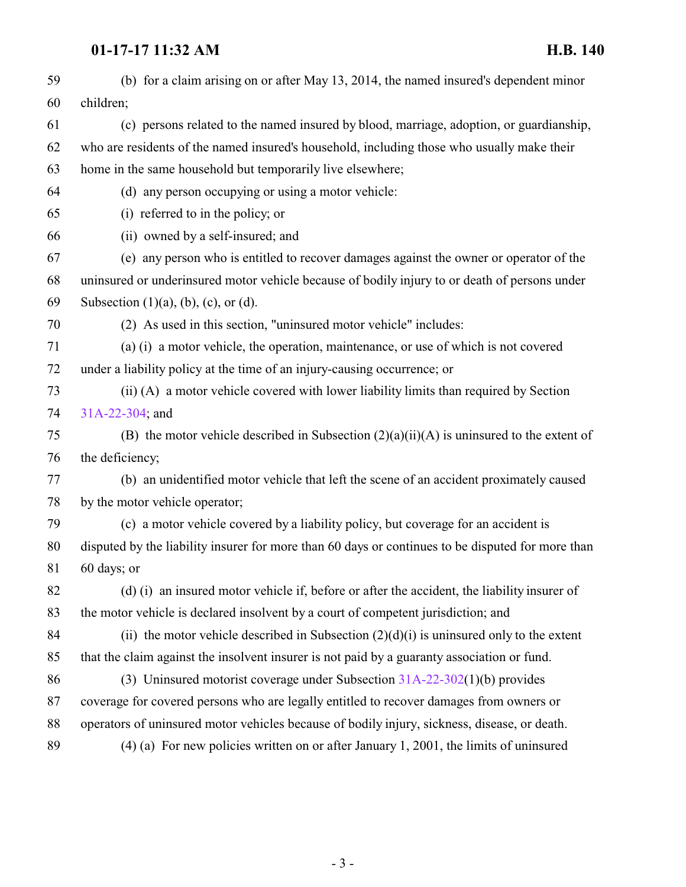| 59 | (b) for a claim arising on or after May 13, 2014, the named insured's dependent minor             |
|----|---------------------------------------------------------------------------------------------------|
| 60 | children;                                                                                         |
| 61 | (c) persons related to the named insured by blood, marriage, adoption, or guardianship,           |
| 62 | who are residents of the named insured's household, including those who usually make their        |
| 63 | home in the same household but temporarily live elsewhere;                                        |
| 64 | (d) any person occupying or using a motor vehicle:                                                |
| 65 | (i) referred to in the policy; or                                                                 |
| 66 | (ii) owned by a self-insured; and                                                                 |
| 67 | (e) any person who is entitled to recover damages against the owner or operator of the            |
| 68 | uninsured or underinsured motor vehicle because of bodily injury to or death of persons under     |
| 69 | Subsection $(1)(a)$ , $(b)$ , $(c)$ , or $(d)$ .                                                  |
| 70 | (2) As used in this section, "uninsured motor vehicle" includes:                                  |
| 71 | (a) (i) a motor vehicle, the operation, maintenance, or use of which is not covered               |
| 72 | under a liability policy at the time of an injury-causing occurrence; or                          |
| 73 | (ii) (A) a motor vehicle covered with lower liability limits than required by Section             |
| 74 | 31A-22-304; and                                                                                   |
| 75 | (B) the motor vehicle described in Subsection $(2)(a)(ii)(A)$ is uninsured to the extent of       |
| 76 | the deficiency;                                                                                   |
| 77 | (b) an unidentified motor vehicle that left the scene of an accident proximately caused           |
| 78 | by the motor vehicle operator;                                                                    |
| 79 | (c) a motor vehicle covered by a liability policy, but coverage for an accident is                |
| 80 | disputed by the liability insurer for more than 60 days or continues to be disputed for more than |
| 81 | 60 days; or                                                                                       |
| 82 | (d) (i) an insured motor vehicle if, before or after the accident, the liability insurer of       |
| 83 | the motor vehicle is declared insolvent by a court of competent jurisdiction; and                 |
| 84 | (ii) the motor vehicle described in Subsection $(2)(d)(i)$ is uninsured only to the extent        |
| 85 | that the claim against the insolvent insurer is not paid by a guaranty association or fund.       |
| 86 | (3) Uninsured motorist coverage under Subsection $31A-22-302(1)(b)$ provides                      |
| 87 | coverage for covered persons who are legally entitled to recover damages from owners or           |
| 88 | operators of uninsured motor vehicles because of bodily injury, sickness, disease, or death.      |
| 89 | $(4)$ (a) For new policies written on or after January 1, 2001, the limits of uninsured           |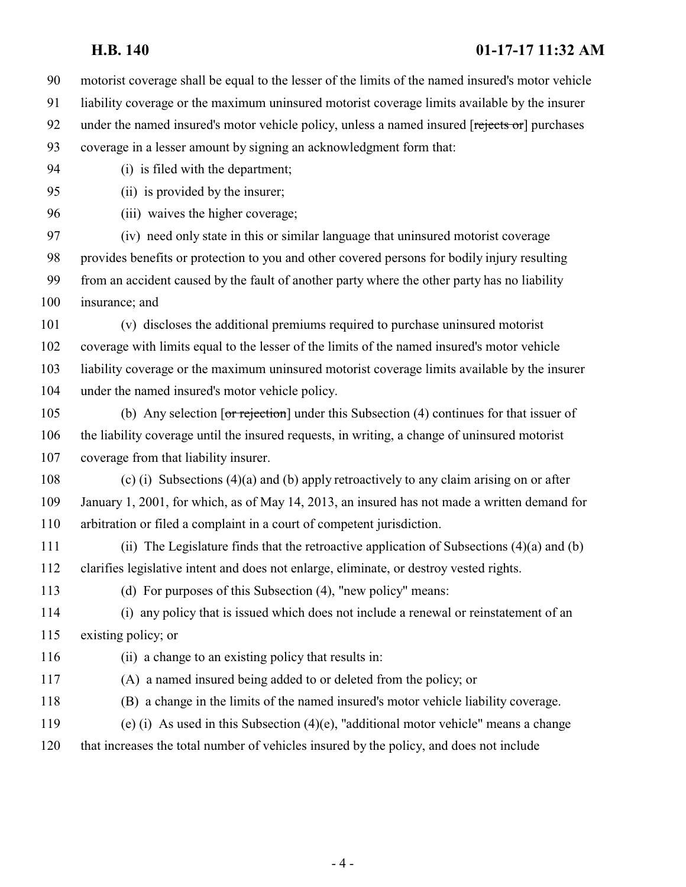motorist coverage shall be equal to the lesser of the limits of the named insured's motor vehicle

- liability coverage or the maximum uninsured motorist coverage limits available by the insurer 92 under the named insured's motor vehicle policy, unless a named insured [rejects or] purchases
- coverage in a lesser amount by signing an acknowledgment form that:
- (i) is filed with the department;

(ii) is provided by the insurer;

96 (iii) waives the higher coverage;

 (iv) need only state in this or similar language that uninsured motorist coverage provides benefits or protection to you and other covered persons for bodily injury resulting from an accident caused by the fault of another party where the other party has no liability insurance; and

 (v) discloses the additional premiums required to purchase uninsured motorist coverage with limits equal to the lesser of the limits of the named insured's motor vehicle liability coverage or the maximum uninsured motorist coverage limits available by the insurer under the named insured's motor vehicle policy.

 (b) Any selection [or rejection] under this Subsection (4) continues for that issuer of the liability coverage until the insured requests, in writing, a change of uninsured motorist coverage from that liability insurer.

 (c) (i) Subsections (4)(a) and (b) apply retroactively to any claim arising on or after January 1, 2001, for which, as of May 14, 2013, an insured has not made a written demand for arbitration or filed a complaint in a court of competent jurisdiction.

- (ii) The Legislature finds that the retroactive application of Subsections (4)(a) and (b) clarifies legislative intent and does not enlarge, eliminate, or destroy vested rights.
- 

(d) For purposes of this Subsection (4), "new policy" means:

 (i) any policy that is issued which does not include a renewal or reinstatement of an existing policy; or

- (ii) a change to an existing policy that results in:
- (A) a named insured being added to or deleted from the policy; or
- (B) a change in the limits of the named insured's motor vehicle liability coverage.
- (e) (i) As used in this Subsection (4)(e), "additional motor vehicle" means a change
- that increases the total number of vehicles insured by the policy, and does not include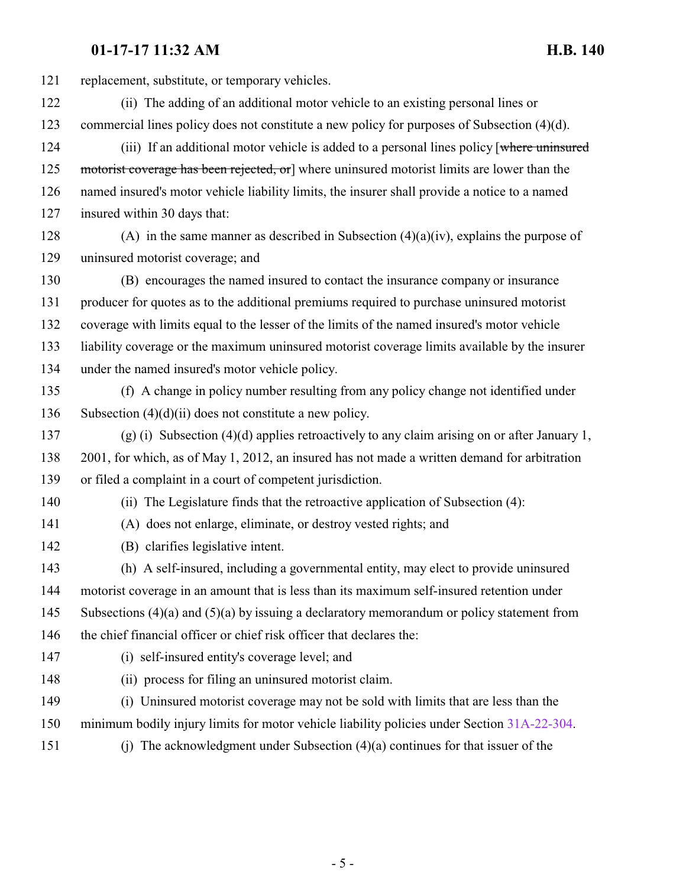replacement, substitute, or temporary vehicles. (ii) The adding of an additional motor vehicle to an existing personal lines or commercial lines policy does not constitute a new policy for purposes of Subsection (4)(d). 124 (iii) If an additional motor vehicle is added to a personal lines policy [where uninsured 125 motorist coverage has been rejected, or where uninsured motorist limits are lower than the named insured's motor vehicle liability limits, the insurer shall provide a notice to a named insured within 30 days that: 128 (A) in the same manner as described in Subsection  $(4)(a)(iv)$ , explains the purpose of uninsured motorist coverage; and (B) encourages the named insured to contact the insurance company or insurance producer for quotes as to the additional premiums required to purchase uninsured motorist coverage with limits equal to the lesser of the limits of the named insured's motor vehicle liability coverage or the maximum uninsured motorist coverage limits available by the insurer under the named insured's motor vehicle policy. (f) A change in policy number resulting from any policy change not identified under Subsection (4)(d)(ii) does not constitute a new policy. (g) (i) Subsection (4)(d) applies retroactively to any claim arising on or after January 1, 2001, for which, as of May 1, 2012, an insured has not made a written demand for arbitration or filed a complaint in a court of competent jurisdiction. (ii) The Legislature finds that the retroactive application of Subsection (4): (A) does not enlarge, eliminate, or destroy vested rights; and (B) clarifies legislative intent. (h) A self-insured, including a governmental entity, may elect to provide uninsured motorist coverage in an amount that is less than its maximum self-insured retention under Subsections (4)(a) and (5)(a) by issuing a declaratory memorandum or policy statement from the chief financial officer or chief risk officer that declares the: (i) self-insured entity's coverage level; and (ii) process for filing an uninsured motorist claim. (i) Uninsured motorist coverage may not be sold with limits that are less than the minimum bodily injury limits for motor vehicle liability policies under Section [31A-22-304](http://le.utah.gov/UtahCode/SectionLookup.jsp?section=31a-22-304&session=2017GS). (j) The acknowledgment under Subsection (4)(a) continues for that issuer of the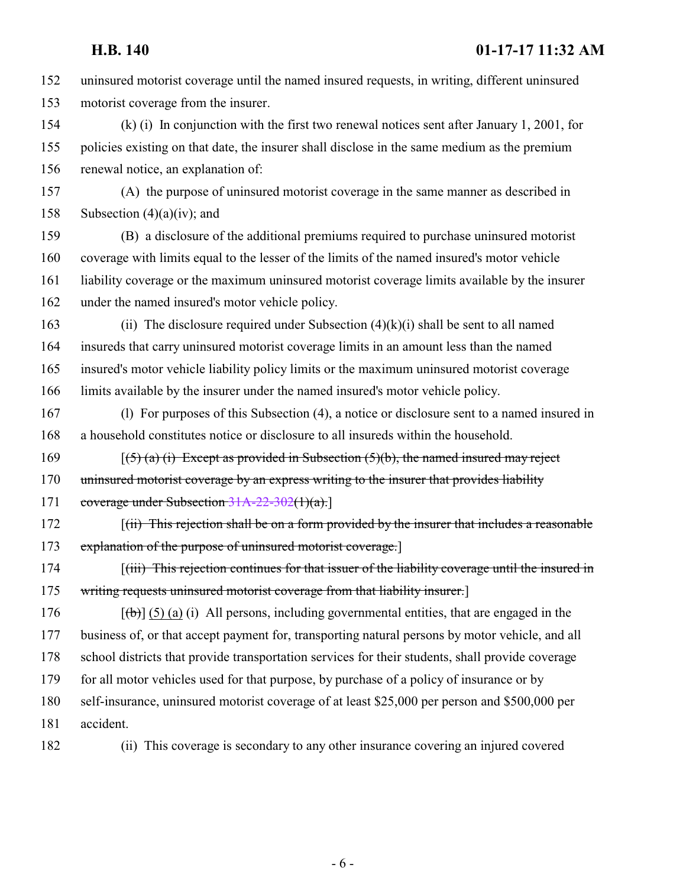| 152 | uninsured motorist coverage until the named insured requests, in writing, different uninsured    |
|-----|--------------------------------------------------------------------------------------------------|
| 153 | motorist coverage from the insurer.                                                              |
| 154 | $(k)$ (i) In conjunction with the first two renewal notices sent after January 1, 2001, for      |
| 155 | policies existing on that date, the insurer shall disclose in the same medium as the premium     |
| 156 | renewal notice, an explanation of:                                                               |
| 157 | (A) the purpose of uninsured motorist coverage in the same manner as described in                |
| 158 | Subsection $(4)(a)(iv)$ ; and                                                                    |
| 159 | (B) a disclosure of the additional premiums required to purchase uninsured motorist              |
| 160 | coverage with limits equal to the lesser of the limits of the named insured's motor vehicle      |
| 161 | liability coverage or the maximum uninsured motorist coverage limits available by the insurer    |
| 162 | under the named insured's motor vehicle policy.                                                  |
| 163 | (ii) The disclosure required under Subsection $(4)(k)(i)$ shall be sent to all named             |
| 164 | insureds that carry uninsured motorist coverage limits in an amount less than the named          |
| 165 | insured's motor vehicle liability policy limits or the maximum uninsured motorist coverage       |
| 166 | limits available by the insurer under the named insured's motor vehicle policy.                  |
| 167 | (1) For purposes of this Subsection (4), a notice or disclosure sent to a named insured in       |
| 168 | a household constitutes notice or disclosure to all insureds within the household.               |
| 169 | $(5)$ (a) (i) Except as provided in Subsection (5)(b), the named insured may reject              |
| 170 | uninsured motorist coverage by an express writing to the insurer that provides liability         |
| 171 | coverage under Subsection $31A-22-302(1)(a)$ .                                                   |
| 172 | $(iii)$ This rejection shall be on a form provided by the insurer that includes a reasonable     |
| 173 | explanation of the purpose of uninsured motorist coverage.]                                      |
| 174 | [(iii) This rejection continues for that issuer of the liability coverage until the insured in   |
| 175 | writing requests uninsured motorist coverage from that liability insurer.                        |
| 176 | $[\phi]$ (5) (a) (i) All persons, including governmental entities, that are engaged in the       |
| 177 | business of, or that accept payment for, transporting natural persons by motor vehicle, and all  |
| 178 | school districts that provide transportation services for their students, shall provide coverage |
| 179 | for all motor vehicles used for that purpose, by purchase of a policy of insurance or by         |
| 180 | self-insurance, uninsured motorist coverage of at least \$25,000 per person and \$500,000 per    |
| 181 | accident.                                                                                        |
| 182 | This coverage is secondary to any other insurance covering an injured covered<br>(ii)            |
|     |                                                                                                  |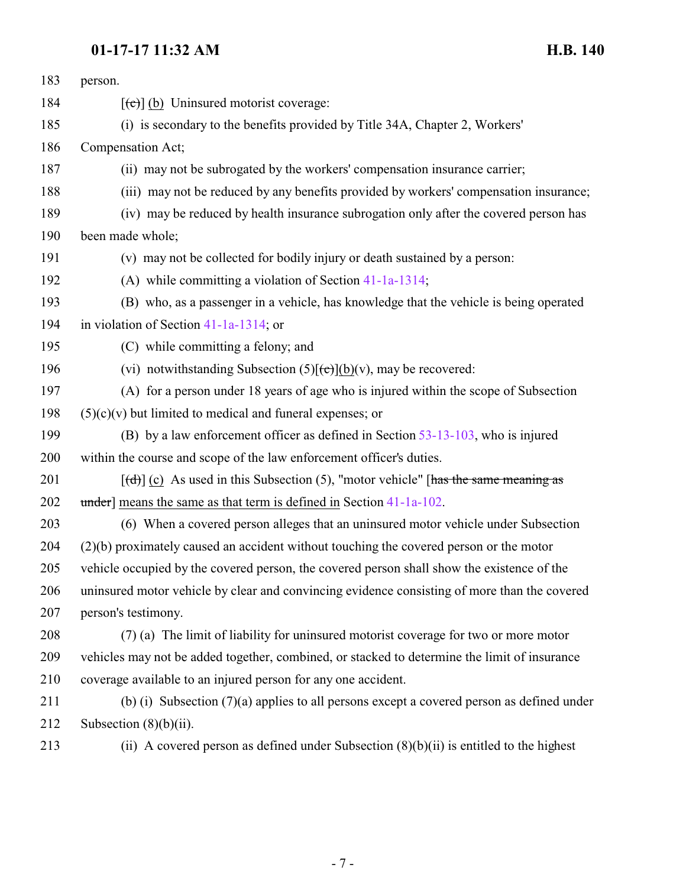| 183 | person.                                                                                      |
|-----|----------------------------------------------------------------------------------------------|
| 184 | $[\text{e}(\text{e})]$ (b) Uninsured motorist coverage:                                      |
| 185 | (i) is secondary to the benefits provided by Title 34A, Chapter 2, Workers'                  |
| 186 | Compensation Act;                                                                            |
| 187 | (ii) may not be subrogated by the workers' compensation insurance carrier;                   |
| 188 | (iii) may not be reduced by any benefits provided by workers' compensation insurance;        |
| 189 | (iv) may be reduced by health insurance subrogation only after the covered person has        |
| 190 | been made whole;                                                                             |
| 191 | (v) may not be collected for bodily injury or death sustained by a person:                   |
| 192 | (A) while committing a violation of Section $41-1a-1314$ ;                                   |
| 193 | (B) who, as a passenger in a vehicle, has knowledge that the vehicle is being operated       |
| 194 | in violation of Section $41-1a-1314$ ; or                                                    |
| 195 | (C) while committing a felony; and                                                           |
| 196 | (vi) notwithstanding Subsection $(5)[(e)](b)(v)$ , may be recovered:                         |
| 197 | (A) for a person under 18 years of age who is injured within the scope of Subsection         |
| 198 | $(5)(c)(v)$ but limited to medical and funeral expenses; or                                  |
| 199 | (B) by a law enforcement officer as defined in Section $53-13-103$ , who is injured          |
| 200 | within the course and scope of the law enforcement officer's duties.                         |
| 201 | $[\text{td}]$ (c) As used in this Subsection (5), "motor vehicle" [has the same meaning as   |
| 202 | $t$ under] means the same as that term is defined in Section 41-1a-102.                      |
| 203 | (6) When a covered person alleges that an uninsured motor vehicle under Subsection           |
| 204 | (2)(b) proximately caused an accident without touching the covered person or the motor       |
| 205 | vehicle occupied by the covered person, the covered person shall show the existence of the   |
| 206 | uninsured motor vehicle by clear and convincing evidence consisting of more than the covered |
| 207 | person's testimony.                                                                          |
| 208 | (7) (a) The limit of liability for uninsured motorist coverage for two or more motor         |
| 209 | vehicles may not be added together, combined, or stacked to determine the limit of insurance |
| 210 | coverage available to an injured person for any one accident.                                |
| 211 | (b) (i) Subsection $(7)(a)$ applies to all persons except a covered person as defined under  |
| 212 | Subsection $(8)(b)(ii)$ .                                                                    |

(ii) A covered person as defined under Subsection (8)(b)(ii) is entitled to the highest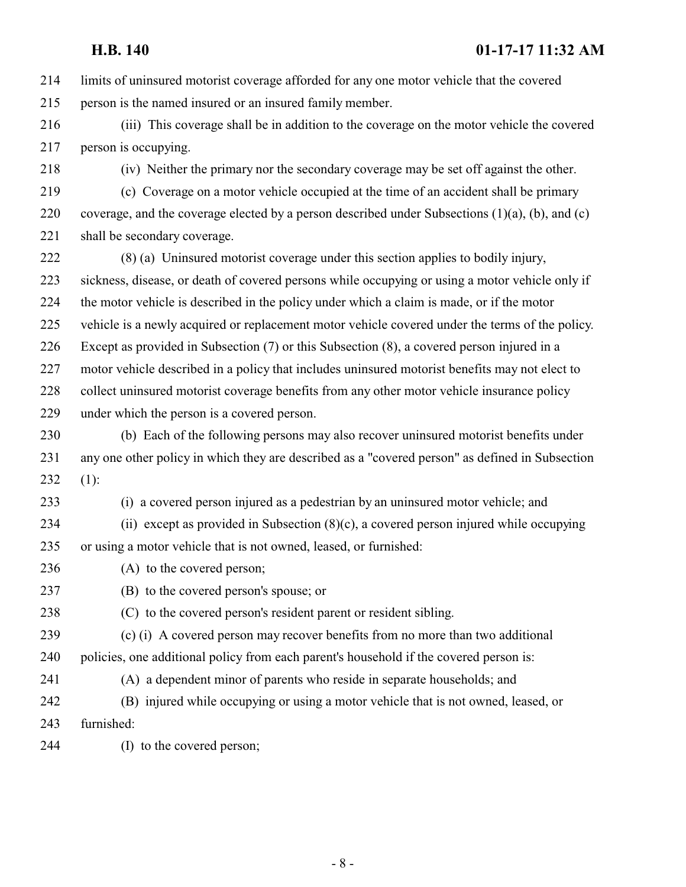limits of uninsured motorist coverage afforded for any one motor vehicle that the covered person is the named insured or an insured family member. (iii) This coverage shall be in addition to the coverage on the motor vehicle the covered person is occupying. (iv) Neither the primary nor the secondary coverage may be set off against the other.

 (c) Coverage on a motor vehicle occupied at the time of an accident shall be primary 220 coverage, and the coverage elected by a person described under Subsections  $(1)(a)$ ,  $(b)$ , and  $(c)$ shall be secondary coverage.

 (8) (a) Uninsured motorist coverage under this section applies to bodily injury, sickness, disease, or death of covered persons while occupying or using a motor vehicle only if the motor vehicle is described in the policy under which a claim is made, or if the motor vehicle is a newly acquired or replacement motor vehicle covered under the terms of the policy. Except as provided in Subsection (7) or this Subsection (8), a covered person injured in a motor vehicle described in a policy that includes uninsured motorist benefits may not elect to 228 collect uninsured motorist coverage benefits from any other motor vehicle insurance policy under which the person is a covered person.

 (b) Each of the following persons may also recover uninsured motorist benefits under any one other policy in which they are described as a "covered person" as defined in Subsection (1):

- (i) a covered person injured as a pedestrian by an uninsured motor vehicle; and
- (ii) except as provided in Subsection (8)(c), a covered person injured while occupying or using a motor vehicle that is not owned, leased, or furnished:
- 236 (A) to the covered person;
- (B) to the covered person's spouse; or
- (C) to the covered person's resident parent or resident sibling.
- (c) (i) A covered person may recover benefits from no more than two additional policies, one additional policy from each parent's household if the covered person is:
- 
- (A) a dependent minor of parents who reside in separate households; and
- (B) injured while occupying or using a motor vehicle that is not owned, leased, or furnished:
- (I) to the covered person;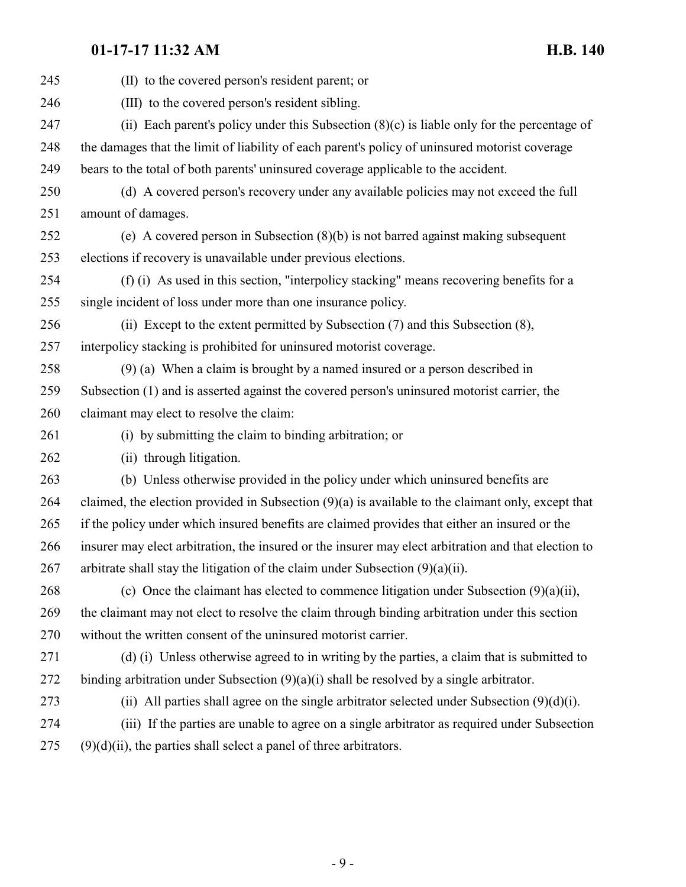(II) to the covered person's resident parent; or (III) to the covered person's resident sibling. (ii) Each parent's policy under this Subsection (8)(c) is liable only for the percentage of the damages that the limit of liability of each parent's policy of uninsured motorist coverage bears to the total of both parents' uninsured coverage applicable to the accident. (d) A covered person's recovery under any available policies may not exceed the full amount of damages. (e) A covered person in Subsection (8)(b) is not barred against making subsequent elections if recovery is unavailable under previous elections. (f) (i) As used in this section, "interpolicy stacking" means recovering benefits for a single incident of loss under more than one insurance policy. (ii) Except to the extent permitted by Subsection (7) and this Subsection (8), interpolicy stacking is prohibited for uninsured motorist coverage. (9) (a) When a claim is brought by a named insured or a person described in Subsection (1) and is asserted against the covered person's uninsured motorist carrier, the claimant may elect to resolve the claim: (i) by submitting the claim to binding arbitration; or (ii) through litigation. (b) Unless otherwise provided in the policy under which uninsured benefits are claimed, the election provided in Subsection (9)(a) is available to the claimant only, except that if the policy under which insured benefits are claimed provides that either an insured or the insurer may elect arbitration, the insured or the insurer may elect arbitration and that election to 267 arbitrate shall stay the litigation of the claim under Subsection  $(9)(a)(ii)$ . 268 (c) Once the claimant has elected to commence litigation under Subsection  $(9)(a)(ii)$ , the claimant may not elect to resolve the claim through binding arbitration under this section without the written consent of the uninsured motorist carrier. (d) (i) Unless otherwise agreed to in writing by the parties, a claim that is submitted to binding arbitration under Subsection (9)(a)(i) shall be resolved by a single arbitrator. (ii) All parties shall agree on the single arbitrator selected under Subsection (9)(d)(i).

 (iii) If the parties are unable to agree on a single arbitrator as required under Subsection (9)(d)(ii), the parties shall select a panel of three arbitrators.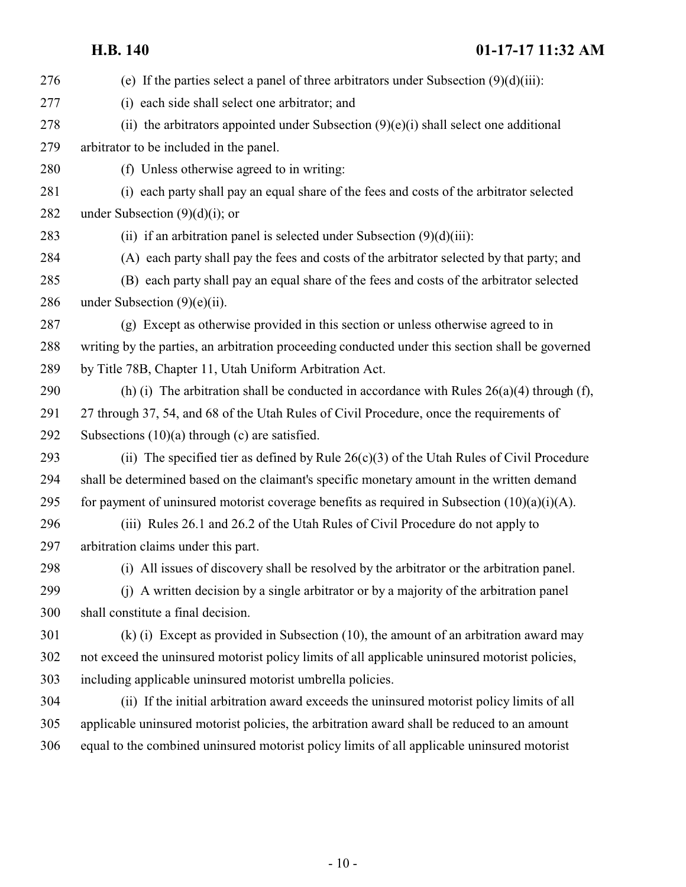276 (e) If the parties select a panel of three arbitrators under Subsection  $(9)(d)(iii)$ : (i) each side shall select one arbitrator; and 278 (ii) the arbitrators appointed under Subsection  $(9)(e)(i)$  shall select one additional arbitrator to be included in the panel. (f) Unless otherwise agreed to in writing: (i) each party shall pay an equal share of the fees and costs of the arbitrator selected 282 under Subsection  $(9)(d)(i)$ ; or 283 (ii) if an arbitration panel is selected under Subsection  $(9)(d)(iii)$ : (A) each party shall pay the fees and costs of the arbitrator selected by that party; and (B) each party shall pay an equal share of the fees and costs of the arbitrator selected under Subsection (9)(e)(ii). (g) Except as otherwise provided in this section or unless otherwise agreed to in writing by the parties, an arbitration proceeding conducted under this section shall be governed by Title 78B, Chapter 11, Utah Uniform Arbitration Act. 290 (h) (i) The arbitration shall be conducted in accordance with Rules  $26(a)(4)$  through (f), 27 through 37, 54, and 68 of the Utah Rules of Civil Procedure, once the requirements of 292 Subsections  $(10)(a)$  through  $(c)$  are satisfied. (ii) The specified tier as defined by Rule 26(c)(3) of the Utah Rules of Civil Procedure shall be determined based on the claimant's specific monetary amount in the written demand 295 for payment of uninsured motorist coverage benefits as required in Subsection  $(10)(a)(i)(A)$ . (iii) Rules 26.1 and 26.2 of the Utah Rules of Civil Procedure do not apply to arbitration claims under this part. (i) All issues of discovery shall be resolved by the arbitrator or the arbitration panel. (j) A written decision by a single arbitrator or by a majority of the arbitration panel shall constitute a final decision. (k) (i) Except as provided in Subsection (10), the amount of an arbitration award may not exceed the uninsured motorist policy limits of all applicable uninsured motorist policies, including applicable uninsured motorist umbrella policies. (ii) If the initial arbitration award exceeds the uninsured motorist policy limits of all applicable uninsured motorist policies, the arbitration award shall be reduced to an amount equal to the combined uninsured motorist policy limits of all applicable uninsured motorist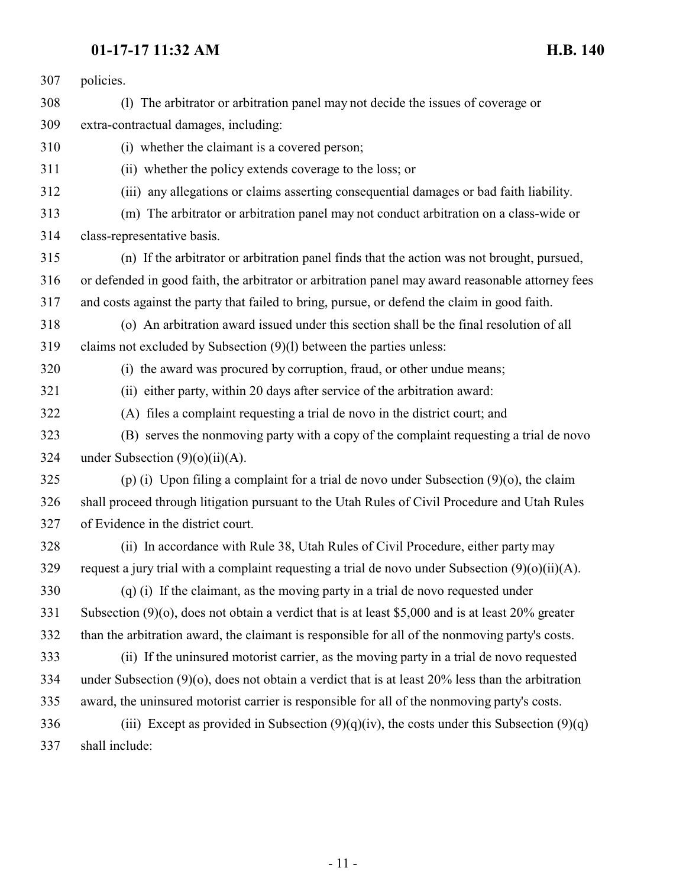| 307 | policies.                                                                                            |
|-----|------------------------------------------------------------------------------------------------------|
| 308 | (1) The arbitrator or arbitration panel may not decide the issues of coverage or                     |
| 309 | extra-contractual damages, including:                                                                |
| 310 | (i) whether the claimant is a covered person;                                                        |
| 311 | (ii) whether the policy extends coverage to the loss; or                                             |
| 312 | (iii) any allegations or claims asserting consequential damages or bad faith liability.              |
| 313 | (m) The arbitrator or arbitration panel may not conduct arbitration on a class-wide or               |
| 314 | class-representative basis.                                                                          |
| 315 | (n) If the arbitrator or arbitration panel finds that the action was not brought, pursued,           |
| 316 | or defended in good faith, the arbitrator or arbitration panel may award reasonable attorney fees    |
| 317 | and costs against the party that failed to bring, pursue, or defend the claim in good faith.         |
| 318 | (o) An arbitration award issued under this section shall be the final resolution of all              |
| 319 | claims not excluded by Subsection (9)(1) between the parties unless:                                 |
| 320 | (i) the award was procured by corruption, fraud, or other undue means;                               |
| 321 | (ii) either party, within 20 days after service of the arbitration award:                            |
| 322 | (A) files a complaint requesting a trial de novo in the district court; and                          |
| 323 | (B) serves the nonmoving party with a copy of the complaint requesting a trial de novo               |
| 324 | under Subsection $(9)(o)(ii)(A)$ .                                                                   |
| 325 | (p) (i) Upon filing a complaint for a trial de novo under Subsection $(9)(o)$ , the claim            |
| 326 | shall proceed through litigation pursuant to the Utah Rules of Civil Procedure and Utah Rules        |
| 327 | of Evidence in the district court.                                                                   |
| 328 | (ii) In accordance with Rule 38, Utah Rules of Civil Procedure, either party may                     |
| 329 | request a jury trial with a complaint requesting a trial de novo under Subsection $(9)(o)(ii)(A)$ .  |
| 330 | (q) (i) If the claimant, as the moving party in a trial de novo requested under                      |
| 331 | Subsection $(9)(o)$ , does not obtain a verdict that is at least \$5,000 and is at least 20% greater |
| 332 | than the arbitration award, the claimant is responsible for all of the nonmoving party's costs.      |
| 333 | (ii) If the uninsured motorist carrier, as the moving party in a trial de novo requested             |
| 334 | under Subsection $(9)(o)$ , does not obtain a verdict that is at least 20% less than the arbitration |
| 335 | award, the uninsured motorist carrier is responsible for all of the nonmoving party's costs.         |
| 336 | (iii) Except as provided in Subsection $(9)(q)(iv)$ , the costs under this Subsection $(9)(q)$       |
| 337 | shall include:                                                                                       |
|     |                                                                                                      |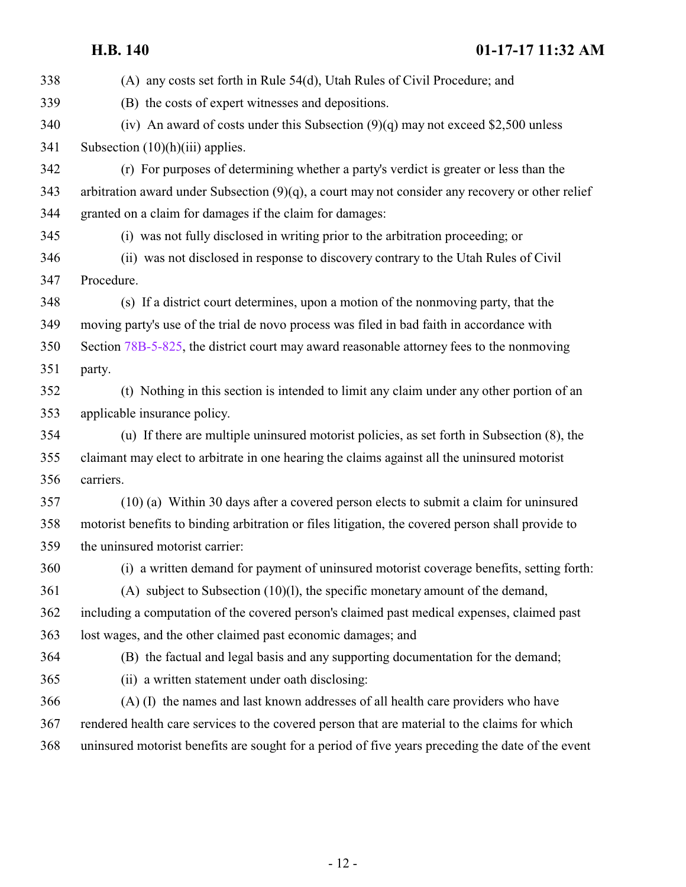(A) any costs set forth in Rule 54(d), Utah Rules of Civil Procedure; and (B) the costs of expert witnesses and depositions. (iv) An award of costs under this Subsection (9)(q) may not exceed \$2,500 unless 341 Subsection  $(10)(h)(iii)$  applies. (r) For purposes of determining whether a party's verdict is greater or less than the arbitration award under Subsection (9)(q), a court may not consider any recovery or other relief granted on a claim for damages if the claim for damages: (i) was not fully disclosed in writing prior to the arbitration proceeding; or (ii) was not disclosed in response to discovery contrary to the Utah Rules of Civil Procedure. (s) If a district court determines, upon a motion of the nonmoving party, that the moving party's use of the trial de novo process was filed in bad faith in accordance with Section [78B-5-825](http://le.utah.gov/UtahCode/SectionLookup.jsp?section=78b-5-825&session=2017GS), the district court may award reasonable attorney fees to the nonmoving party. (t) Nothing in this section is intended to limit any claim under any other portion of an applicable insurance policy. (u) If there are multiple uninsured motorist policies, as set forth in Subsection (8), the claimant may elect to arbitrate in one hearing the claims against all the uninsured motorist carriers. (10) (a) Within 30 days after a covered person elects to submit a claim for uninsured motorist benefits to binding arbitration or files litigation, the covered person shall provide to the uninsured motorist carrier: (i) a written demand for payment of uninsured motorist coverage benefits, setting forth: (A) subject to Subsection (10)(l), the specific monetary amount of the demand, including a computation of the covered person's claimed past medical expenses, claimed past lost wages, and the other claimed past economic damages; and (B) the factual and legal basis and any supporting documentation for the demand; (ii) a written statement under oath disclosing: (A) (I) the names and last known addresses of all health care providers who have rendered health care services to the covered person that are material to the claims for which uninsured motorist benefits are sought for a period of five years preceding the date of the event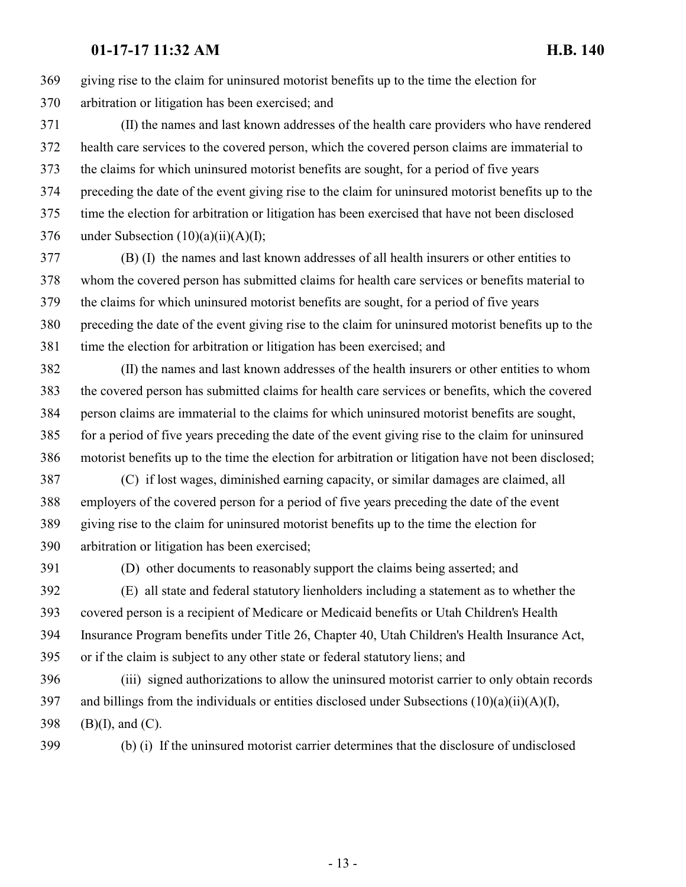giving rise to the claim for uninsured motorist benefits up to the time the election for arbitration or litigation has been exercised; and

 (II) the names and last known addresses of the health care providers who have rendered health care services to the covered person, which the covered person claims are immaterial to the claims for which uninsured motorist benefits are sought, for a period of five years preceding the date of the event giving rise to the claim for uninsured motorist benefits up to the time the election for arbitration or litigation has been exercised that have not been disclosed 376 under Subsection  $(10)(a)(ii)(A)(I);$ 

 (B) (I) the names and last known addresses of all health insurers or other entities to whom the covered person has submitted claims for health care services or benefits material to the claims for which uninsured motorist benefits are sought, for a period of five years preceding the date of the event giving rise to the claim for uninsured motorist benefits up to the time the election for arbitration or litigation has been exercised; and

 (II) the names and last known addresses of the health insurers or other entities to whom the covered person has submitted claims for health care services or benefits, which the covered person claims are immaterial to the claims for which uninsured motorist benefits are sought, for a period of five years preceding the date of the event giving rise to the claim for uninsured motorist benefits up to the time the election for arbitration or litigation have not been disclosed;

 (C) if lost wages, diminished earning capacity, or similar damages are claimed, all employers of the covered person for a period of five years preceding the date of the event giving rise to the claim for uninsured motorist benefits up to the time the election for arbitration or litigation has been exercised;

(D) other documents to reasonably support the claims being asserted; and

 (E) all state and federal statutory lienholders including a statement as to whether the covered person is a recipient of Medicare or Medicaid benefits or Utah Children's Health Insurance Program benefits under Title 26, Chapter 40, Utah Children's Health Insurance Act, or if the claim is subject to any other state or federal statutory liens; and

 (iii) signed authorizations to allow the uninsured motorist carrier to only obtain records 397 and billings from the individuals or entities disclosed under Subsections  $(10)(a)(ii)(A)(I)$ , (B)(I), and (C).

(b) (i) If the uninsured motorist carrier determines that the disclosure of undisclosed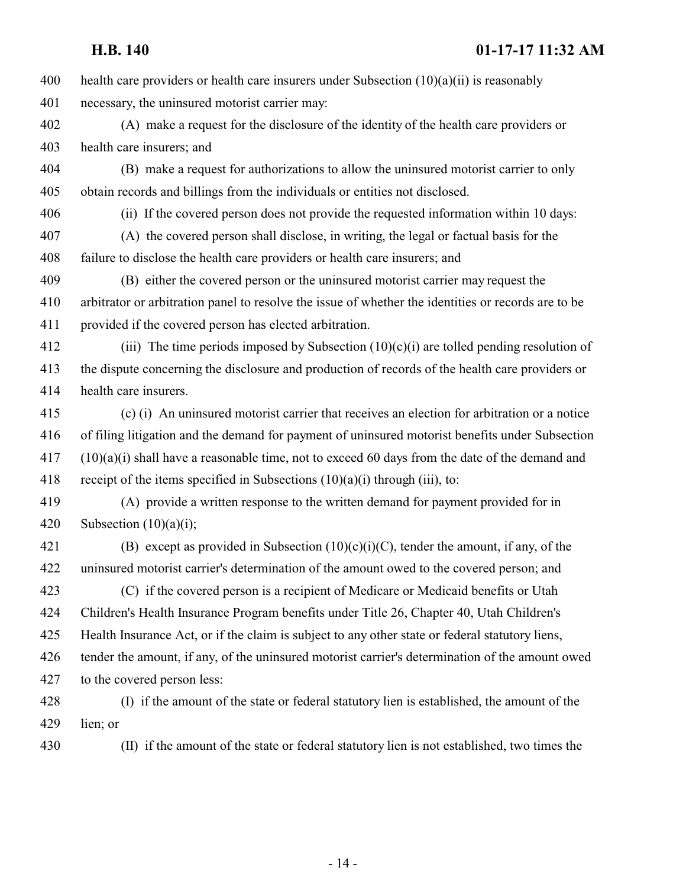**H.B. 140 01-17-17 11:32 AM** health care providers or health care insurers under Subsection (10)(a)(ii) is reasonably necessary, the uninsured motorist carrier may: (A) make a request for the disclosure of the identity of the health care providers or health care insurers; and (B) make a request for authorizations to allow the uninsured motorist carrier to only obtain records and billings from the individuals or entities not disclosed. (ii) If the covered person does not provide the requested information within 10 days: (A) the covered person shall disclose, in writing, the legal or factual basis for the failure to disclose the health care providers or health care insurers; and (B) either the covered person or the uninsured motorist carrier may request the arbitrator or arbitration panel to resolve the issue of whether the identities or records are to be provided if the covered person has elected arbitration. (iii) The time periods imposed by Subsection (10)(c)(i) are tolled pending resolution of the dispute concerning the disclosure and production of records of the health care providers or health care insurers. (c) (i) An uninsured motorist carrier that receives an election for arbitration or a notice of filing litigation and the demand for payment of uninsured motorist benefits under Subsection (10)(a)(i) shall have a reasonable time, not to exceed 60 days from the date of the demand and 418 receipt of the items specified in Subsections  $(10)(a)(i)$  through (iii), to: (A) provide a written response to the written demand for payment provided for in 420 Subsection  $(10)(a)(i)$ ; 421 (B) except as provided in Subsection  $(10)(c)(i)(C)$ , tender the amount, if any, of the uninsured motorist carrier's determination of the amount owed to the covered person; and (C) if the covered person is a recipient of Medicare or Medicaid benefits or Utah Children's Health Insurance Program benefits under Title 26, Chapter 40, Utah Children's Health Insurance Act, or if the claim is subject to any other state or federal statutory liens, tender the amount, if any, of the uninsured motorist carrier's determination of the amount owed to the covered person less: (I) if the amount of the state or federal statutory lien is established, the amount of the lien; or (II) if the amount of the state or federal statutory lien is not established, two times the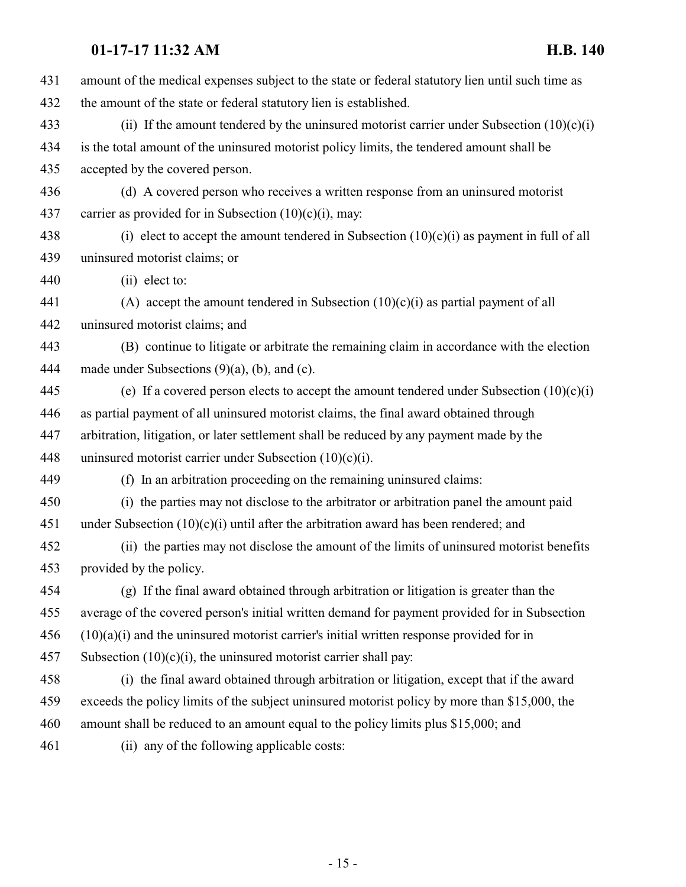| 431 | amount of the medical expenses subject to the state or federal statutory lien until such time as |
|-----|--------------------------------------------------------------------------------------------------|
| 432 | the amount of the state or federal statutory lien is established.                                |
| 433 | (ii) If the amount tendered by the uninsured motorist carrier under Subsection $(10)(c)(i)$      |
| 434 | is the total amount of the uninsured motorist policy limits, the tendered amount shall be        |
| 435 | accepted by the covered person.                                                                  |
| 436 | (d) A covered person who receives a written response from an uninsured motorist                  |
| 437 | carrier as provided for in Subsection $(10)(c)(i)$ , may:                                        |
| 438 | (i) elect to accept the amount tendered in Subsection $(10)(c)(i)$ as payment in full of all     |
| 439 | uninsured motorist claims; or                                                                    |
| 440 | (ii) elect to:                                                                                   |
| 441 | (A) accept the amount tendered in Subsection $(10)(c)(i)$ as partial payment of all              |
| 442 | uninsured motorist claims; and                                                                   |
| 443 | (B) continue to litigate or arbitrate the remaining claim in accordance with the election        |
| 444 | made under Subsections $(9)(a)$ , $(b)$ , and $(c)$ .                                            |
| 445 | (e) If a covered person elects to accept the amount tendered under Subsection $(10)(c)(i)$       |
| 446 | as partial payment of all uninsured motorist claims, the final award obtained through            |
| 447 | arbitration, litigation, or later settlement shall be reduced by any payment made by the         |
| 448 | uninsured motorist carrier under Subsection $(10)(c)(i)$ .                                       |
| 449 | (f) In an arbitration proceeding on the remaining uninsured claims:                              |
| 450 | (i) the parties may not disclose to the arbitrator or arbitration panel the amount paid          |
| 451 | under Subsection $(10)(c)(i)$ until after the arbitration award has been rendered; and           |
| 452 | (ii) the parties may not disclose the amount of the limits of uninsured motorist benefits        |
| 453 | provided by the policy.                                                                          |
| 454 | (g) If the final award obtained through arbitration or litigation is greater than the            |
| 455 | average of the covered person's initial written demand for payment provided for in Subsection    |
| 456 | $(10)(a)(i)$ and the uninsured motorist carrier's initial written response provided for in       |
| 457 | Subsection $(10)(c)(i)$ , the uninsured motorist carrier shall pay:                              |
| 458 | (i) the final award obtained through arbitration or litigation, except that if the award         |
| 459 | exceeds the policy limits of the subject uninsured motorist policy by more than \$15,000, the    |
| 460 | amount shall be reduced to an amount equal to the policy limits plus \$15,000; and               |
| 461 | (ii) any of the following applicable costs:                                                      |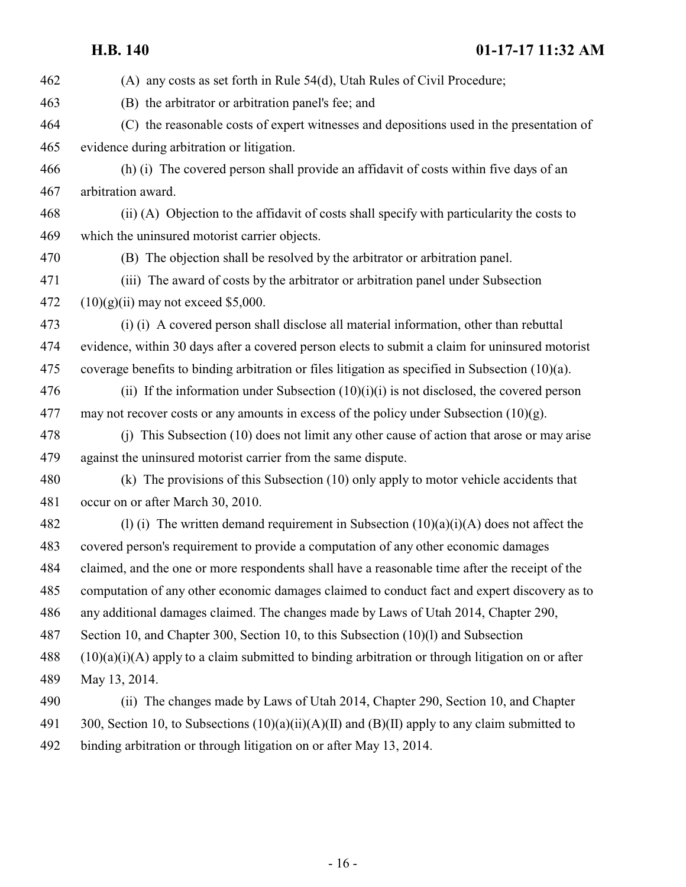(A) any costs as set forth in Rule 54(d), Utah Rules of Civil Procedure; (B) the arbitrator or arbitration panel's fee; and (C) the reasonable costs of expert witnesses and depositions used in the presentation of evidence during arbitration or litigation. (h) (i) The covered person shall provide an affidavit of costs within five days of an arbitration award. (ii) (A) Objection to the affidavit of costs shall specify with particularity the costs to which the uninsured motorist carrier objects. (B) The objection shall be resolved by the arbitrator or arbitration panel. (iii) The award of costs by the arbitrator or arbitration panel under Subsection  $(10)(g)(ii)$  may not exceed \$5,000. (i) (i) A covered person shall disclose all material information, other than rebuttal evidence, within 30 days after a covered person elects to submit a claim for uninsured motorist coverage benefits to binding arbitration or files litigation as specified in Subsection (10)(a). 476 (ii) If the information under Subsection  $(10)(i)(i)$  is not disclosed, the covered person 477 may not recover costs or any amounts in excess of the policy under Subsection  $(10)(g)$ . (j) This Subsection (10) does not limit any other cause of action that arose or may arise against the uninsured motorist carrier from the same dispute. (k) The provisions of this Subsection (10) only apply to motor vehicle accidents that occur on or after March 30, 2010. 482 (l) (i) The written demand requirement in Subsection  $(10)(a)(i)(A)$  does not affect the covered person's requirement to provide a computation of any other economic damages claimed, and the one or more respondents shall have a reasonable time after the receipt of the computation of any other economic damages claimed to conduct fact and expert discovery as to any additional damages claimed. The changes made by Laws of Utah 2014, Chapter 290, Section 10, and Chapter 300, Section 10, to this Subsection (10)(l) and Subsection (10)(a)(i)(A) apply to a claim submitted to binding arbitration or through litigation on or after May 13, 2014. (ii) The changes made by Laws of Utah 2014, Chapter 290, Section 10, and Chapter 491 300, Section 10, to Subsections  $(10)(a)(ii)(A)(II)$  and  $(B)(II)$  apply to any claim submitted to binding arbitration or through litigation on or after May 13, 2014.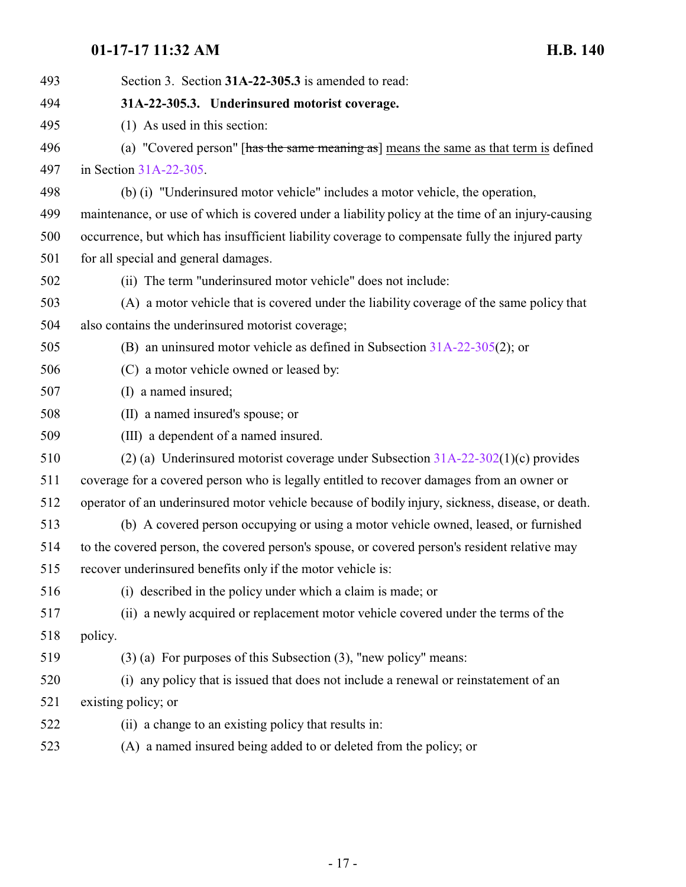<span id="page-16-0"></span>

| 493 | Section 3. Section 31A-22-305.3 is amended to read:                                               |
|-----|---------------------------------------------------------------------------------------------------|
| 494 | 31A-22-305.3. Underinsured motorist coverage.                                                     |
| 495 | (1) As used in this section:                                                                      |
| 496 | (a) "Covered person" [has the same meaning as] means the same as that term is defined             |
| 497 | in Section 31A-22-305.                                                                            |
| 498 | (b) (i) "Underinsured motor vehicle" includes a motor vehicle, the operation,                     |
| 499 | maintenance, or use of which is covered under a liability policy at the time of an injury-causing |
| 500 | occurrence, but which has insufficient liability coverage to compensate fully the injured party   |
| 501 | for all special and general damages.                                                              |
| 502 | (ii) The term "underinsured motor vehicle" does not include:                                      |
| 503 | (A) a motor vehicle that is covered under the liability coverage of the same policy that          |
| 504 | also contains the underinsured motorist coverage;                                                 |
| 505 | (B) an uninsured motor vehicle as defined in Subsection $31A-22-305(2)$ ; or                      |
| 506 | (C) a motor vehicle owned or leased by:                                                           |
| 507 | (I) a named insured;                                                                              |
| 508 | (II) a named insured's spouse; or                                                                 |
| 509 | (III) a dependent of a named insured.                                                             |
| 510 | (2) (a) Underinsured motorist coverage under Subsection $31A-22-302(1)(c)$ provides               |
| 511 | coverage for a covered person who is legally entitled to recover damages from an owner or         |
| 512 | operator of an underinsured motor vehicle because of bodily injury, sickness, disease, or death.  |
| 513 | (b) A covered person occupying or using a motor vehicle owned, leased, or furnished               |
| 514 | to the covered person, the covered person's spouse, or covered person's resident relative may     |
| 515 | recover underinsured benefits only if the motor vehicle is:                                       |
| 516 | (i) described in the policy under which a claim is made; or                                       |
| 517 | (ii) a newly acquired or replacement motor vehicle covered under the terms of the                 |
| 518 | policy.                                                                                           |
| 519 | $(3)$ (a) For purposes of this Subsection $(3)$ , "new policy" means:                             |
| 520 | (i) any policy that is issued that does not include a renewal or reinstatement of an              |
| 521 | existing policy; or                                                                               |
| 522 | (ii) a change to an existing policy that results in:                                              |
| 523 | (A) a named insured being added to or deleted from the policy; or                                 |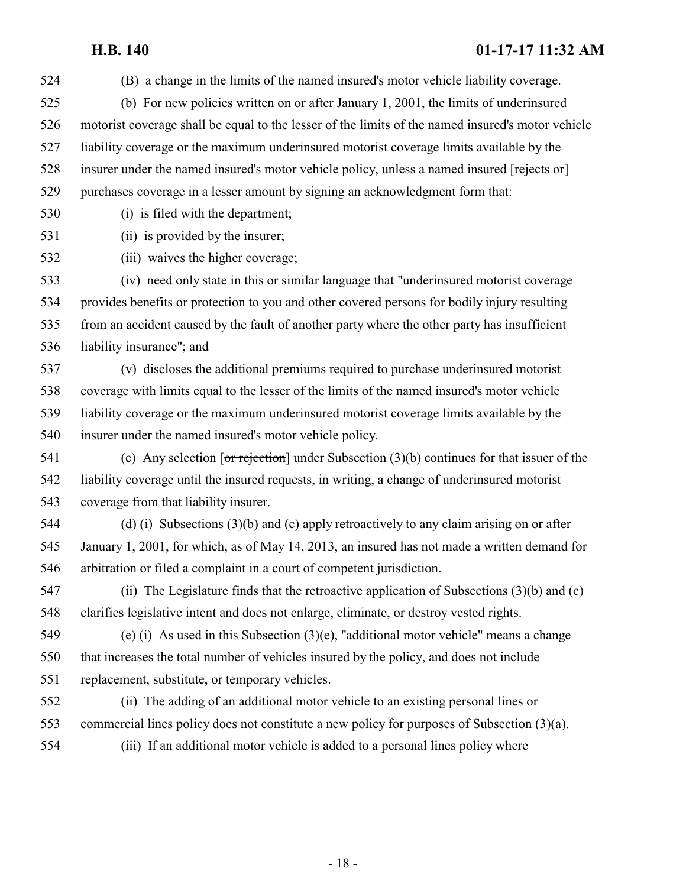(B) a change in the limits of the named insured's motor vehicle liability coverage.

- (b) For new policies written on or after January 1, 2001, the limits of underinsured motorist coverage shall be equal to the lesser of the limits of the named insured's motor vehicle liability coverage or the maximum underinsured motorist coverage limits available by the 528 insurer under the named insured's motor vehicle policy, unless a named insured [rejects or] purchases coverage in a lesser amount by signing an acknowledgment form that:
- (i) is filed with the department;
- 531 (ii) is provided by the insurer;
- (iii) waives the higher coverage;

 (iv) need only state in this or similar language that "underinsured motorist coverage provides benefits or protection to you and other covered persons for bodily injury resulting from an accident caused by the fault of another party where the other party has insufficient liability insurance"; and

- (v) discloses the additional premiums required to purchase underinsured motorist coverage with limits equal to the lesser of the limits of the named insured's motor vehicle liability coverage or the maximum underinsured motorist coverage limits available by the insurer under the named insured's motor vehicle policy.
- (c) Any selection [or rejection] under Subsection (3)(b) continues for that issuer of the liability coverage until the insured requests, in writing, a change of underinsured motorist coverage from that liability insurer.
- (d) (i) Subsections (3)(b) and (c) apply retroactively to any claim arising on or after January 1, 2001, for which, as of May 14, 2013, an insured has not made a written demand for arbitration or filed a complaint in a court of competent jurisdiction.
- (ii) The Legislature finds that the retroactive application of Subsections (3)(b) and (c) clarifies legislative intent and does not enlarge, eliminate, or destroy vested rights.
- (e) (i) As used in this Subsection (3)(e), "additional motor vehicle" means a change that increases the total number of vehicles insured by the policy, and does not include replacement, substitute, or temporary vehicles.
- (ii) The adding of an additional motor vehicle to an existing personal lines or commercial lines policy does not constitute a new policy for purposes of Subsection (3)(a).
- (iii) If an additional motor vehicle is added to a personal lines policy where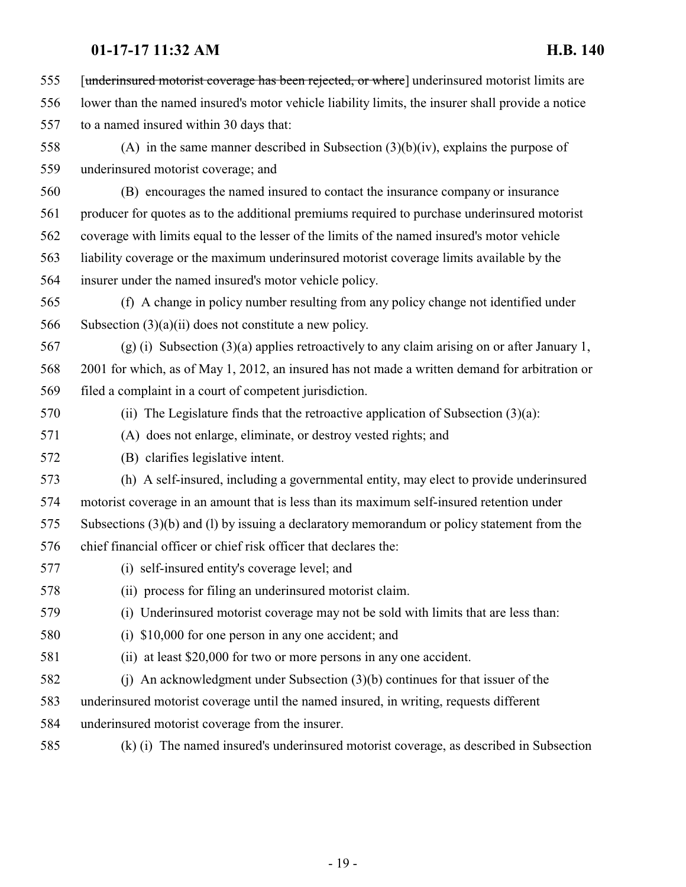- 555 [underinsured motorist coverage has been rejected, or where] underinsured motorist limits are
- lower than the named insured's motor vehicle liability limits, the insurer shall provide a notice to a named insured within 30 days that:
- (A) in the same manner described in Subsection (3)(b)(iv), explains the purpose of underinsured motorist coverage; and
- (B) encourages the named insured to contact the insurance company or insurance producer for quotes as to the additional premiums required to purchase underinsured motorist coverage with limits equal to the lesser of the limits of the named insured's motor vehicle liability coverage or the maximum underinsured motorist coverage limits available by the insurer under the named insured's motor vehicle policy.
- (f) A change in policy number resulting from any policy change not identified under Subsection (3)(a)(ii) does not constitute a new policy.
- (g) (i) Subsection (3)(a) applies retroactively to any claim arising on or after January 1, 2001 for which, as of May 1, 2012, an insured has not made a written demand for arbitration or filed a complaint in a court of competent jurisdiction.
- (ii) The Legislature finds that the retroactive application of Subsection (3)(a):
- (A) does not enlarge, eliminate, or destroy vested rights; and
- (B) clarifies legislative intent.
- (h) A self-insured, including a governmental entity, may elect to provide underinsured motorist coverage in an amount that is less than its maximum self-insured retention under Subsections (3)(b) and (l) by issuing a declaratory memorandum or policy statement from the chief financial officer or chief risk officer that declares the:
- (i) self-insured entity's coverage level; and
- (ii) process for filing an underinsured motorist claim.
- (i) Underinsured motorist coverage may not be sold with limits that are less than:
- (i) \$10,000 for one person in any one accident; and
- (ii) at least \$20,000 for two or more persons in any one accident.
- (j) An acknowledgment under Subsection (3)(b) continues for that issuer of the
- underinsured motorist coverage until the named insured, in writing, requests different
- underinsured motorist coverage from the insurer.
- (k) (i) The named insured's underinsured motorist coverage, as described in Subsection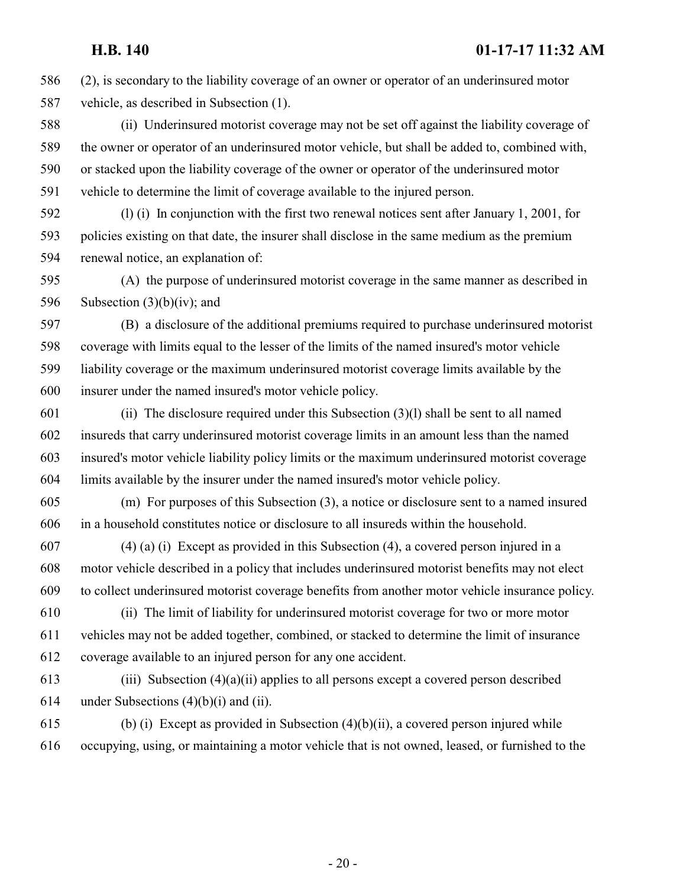(2), is secondary to the liability coverage of an owner or operator of an underinsured motor vehicle, as described in Subsection (1).

 (ii) Underinsured motorist coverage may not be set off against the liability coverage of the owner or operator of an underinsured motor vehicle, but shall be added to, combined with, or stacked upon the liability coverage of the owner or operator of the underinsured motor vehicle to determine the limit of coverage available to the injured person.

 (l) (i) In conjunction with the first two renewal notices sent after January 1, 2001, for policies existing on that date, the insurer shall disclose in the same medium as the premium renewal notice, an explanation of:

 (A) the purpose of underinsured motorist coverage in the same manner as described in 596 Subsection  $(3)(b)(iv)$ ; and

 (B) a disclosure of the additional premiums required to purchase underinsured motorist coverage with limits equal to the lesser of the limits of the named insured's motor vehicle liability coverage or the maximum underinsured motorist coverage limits available by the insurer under the named insured's motor vehicle policy.

 (ii) The disclosure required under this Subsection (3)(l) shall be sent to all named insureds that carry underinsured motorist coverage limits in an amount less than the named insured's motor vehicle liability policy limits or the maximum underinsured motorist coverage limits available by the insurer under the named insured's motor vehicle policy.

 (m) For purposes of this Subsection (3), a notice or disclosure sent to a named insured in a household constitutes notice or disclosure to all insureds within the household.

 (4) (a) (i) Except as provided in this Subsection (4), a covered person injured in a motor vehicle described in a policy that includes underinsured motorist benefits may not elect to collect underinsured motorist coverage benefits from another motor vehicle insurance policy.

 (ii) The limit of liability for underinsured motorist coverage for two or more motor vehicles may not be added together, combined, or stacked to determine the limit of insurance coverage available to an injured person for any one accident.

 (iii) Subsection (4)(a)(ii) applies to all persons except a covered person described under Subsections (4)(b)(i) and (ii).

 (b) (i) Except as provided in Subsection (4)(b)(ii), a covered person injured while occupying, using, or maintaining a motor vehicle that is not owned, leased, or furnished to the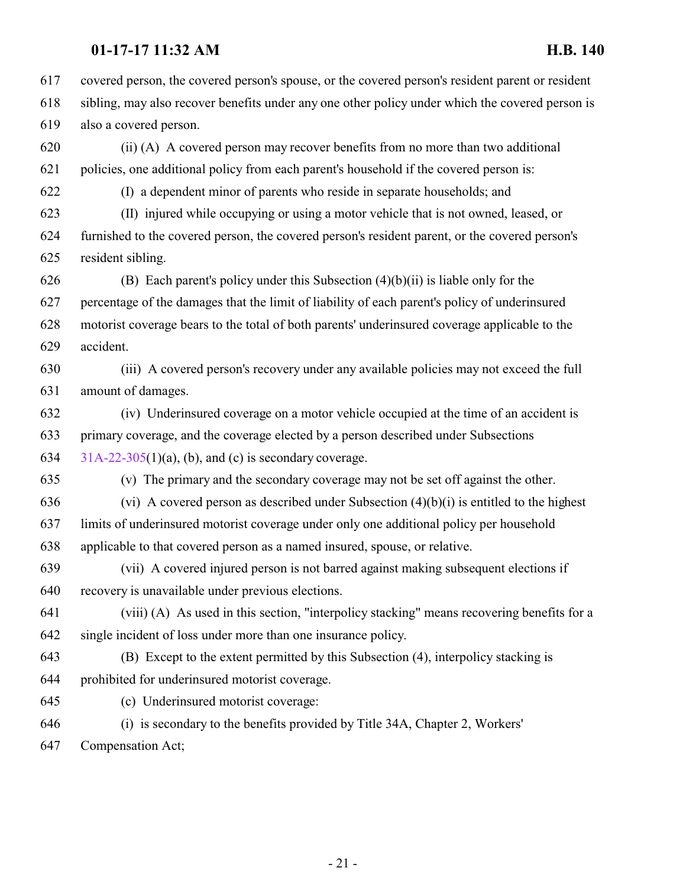covered person, the covered person's spouse, or the covered person's resident parent or resident sibling, may also recover benefits under any one other policy under which the covered person is also a covered person. (ii) (A) A covered person may recover benefits from no more than two additional policies, one additional policy from each parent's household if the covered person is: (I) a dependent minor of parents who reside in separate households; and (II) injured while occupying or using a motor vehicle that is not owned, leased, or furnished to the covered person, the covered person's resident parent, or the covered person's resident sibling.

 (B) Each parent's policy under this Subsection (4)(b)(ii) is liable only for the percentage of the damages that the limit of liability of each parent's policy of underinsured motorist coverage bears to the total of both parents' underinsured coverage applicable to the accident.

 (iii) A covered person's recovery under any available policies may not exceed the full amount of damages.

 (iv) Underinsured coverage on a motor vehicle occupied at the time of an accident is primary coverage, and the coverage elected by a person described under Subsections [31A-22-305](#page-1-1)(1)(a), (b), and (c) is secondary coverage.

(v) The primary and the secondary coverage may not be set off against the other.

636 (vi) A covered person as described under Subsection  $(4)(b)(i)$  is entitled to the highest limits of underinsured motorist coverage under only one additional policy per household applicable to that covered person as a named insured, spouse, or relative.

 (vii) A covered injured person is not barred against making subsequent elections if recovery is unavailable under previous elections.

 (viii) (A) As used in this section, "interpolicy stacking" means recovering benefits for a single incident of loss under more than one insurance policy.

 (B) Except to the extent permitted by this Subsection (4), interpolicy stacking is prohibited for underinsured motorist coverage.

- (c) Underinsured motorist coverage:
- (i) is secondary to the benefits provided by Title 34A, Chapter 2, Workers' Compensation Act;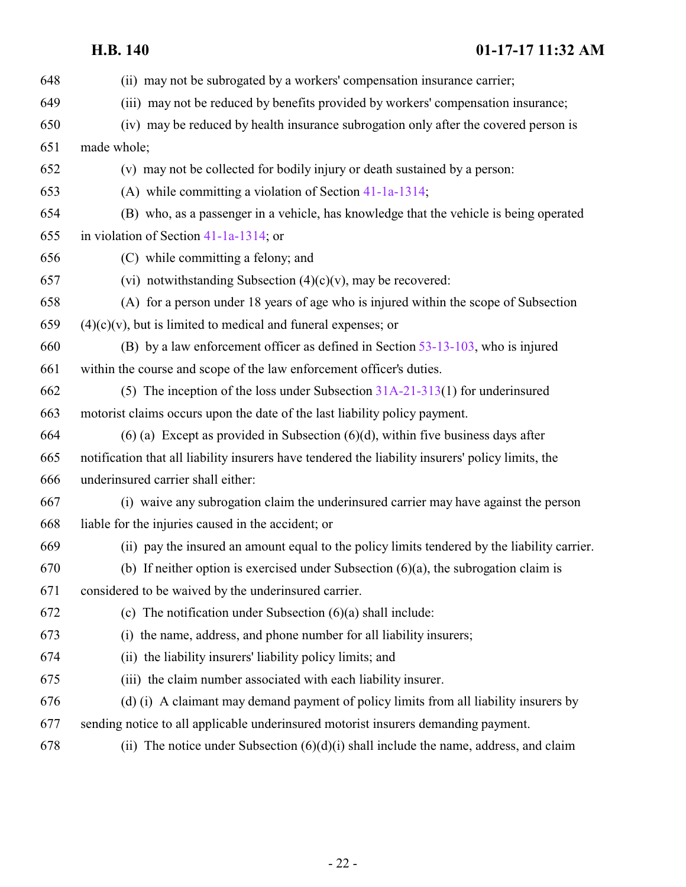(ii) may not be subrogated by a workers' compensation insurance carrier; (iii) may not be reduced by benefits provided by workers' compensation insurance; (iv) may be reduced by health insurance subrogation only after the covered person is made whole; (v) may not be collected for bodily injury or death sustained by a person: (A) while committing a violation of Section [41-1a-1314](http://le.utah.gov/UtahCode/SectionLookup.jsp?section=41-1a-1314&session=2017GS); (B) who, as a passenger in a vehicle, has knowledge that the vehicle is being operated in violation of Section [41-1a-1314](http://le.utah.gov/UtahCode/SectionLookup.jsp?section=41-1a-1314&session=2017GS); or (C) while committing a felony; and 657 (vi) notwithstanding Subsection  $(4)(c)(v)$ , may be recovered: (A) for a person under 18 years of age who is injured within the scope of Subsection  $(4)(c)(v)$ , but is limited to medical and funeral expenses; or (B) by a law enforcement officer as defined in Section [53-13-103](http://le.utah.gov/UtahCode/SectionLookup.jsp?section=53-13-103&session=2017GS), who is injured within the course and scope of the law enforcement officer's duties. (5) The inception of the loss under Subsection [31A-21-313](http://le.utah.gov/UtahCode/SectionLookup.jsp?section=31a-21-313&session=2017GS)(1) for underinsured motorist claims occurs upon the date of the last liability policy payment. (6) (a) Except as provided in Subsection (6)(d), within five business days after notification that all liability insurers have tendered the liability insurers' policy limits, the underinsured carrier shall either: (i) waive any subrogation claim the underinsured carrier may have against the person liable for the injuries caused in the accident; or (ii) pay the insured an amount equal to the policy limits tendered by the liability carrier. (b) If neither option is exercised under Subsection (6)(a), the subrogation claim is considered to be waived by the underinsured carrier. (c) The notification under Subsection (6)(a) shall include: (i) the name, address, and phone number for all liability insurers; (ii) the liability insurers' liability policy limits; and (iii) the claim number associated with each liability insurer. (d) (i) A claimant may demand payment of policy limits from all liability insurers by sending notice to all applicable underinsured motorist insurers demanding payment. 678 (ii) The notice under Subsection  $(6)(d)(i)$  shall include the name, address, and claim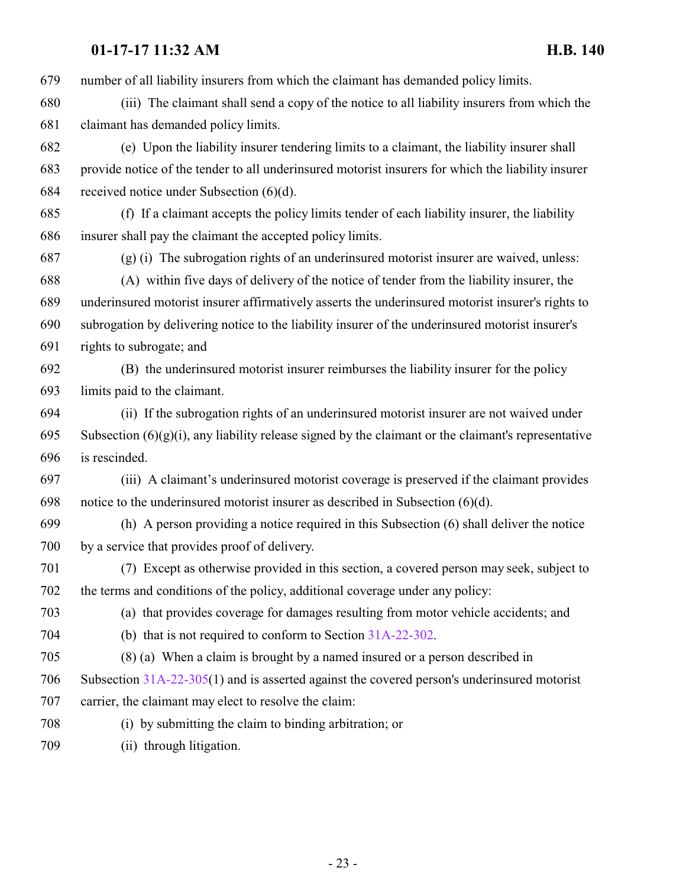number of all liability insurers from which the claimant has demanded policy limits.

 (iii) The claimant shall send a copy of the notice to all liability insurers from which the claimant has demanded policy limits.

 (e) Upon the liability insurer tendering limits to a claimant, the liability insurer shall provide notice of the tender to all underinsured motorist insurers for which the liability insurer received notice under Subsection (6)(d).

 (f) If a claimant accepts the policy limits tender of each liability insurer, the liability insurer shall pay the claimant the accepted policy limits.

(g) (i) The subrogation rights of an underinsured motorist insurer are waived, unless:

 (A) within five days of delivery of the notice of tender from the liability insurer, the underinsured motorist insurer affirmatively asserts the underinsured motorist insurer's rights to subrogation by delivering notice to the liability insurer of the underinsured motorist insurer's rights to subrogate; and

 (B) the underinsured motorist insurer reimburses the liability insurer for the policy limits paid to the claimant.

 (ii) If the subrogation rights of an underinsured motorist insurer are not waived under 695 Subsection  $(6)(g)(i)$ , any liability release signed by the claimant or the claimant's representative is rescinded.

 (iii) A claimant's underinsured motorist coverage is preserved if the claimant provides notice to the underinsured motorist insurer as described in Subsection (6)(d).

 (h) A person providing a notice required in this Subsection (6) shall deliver the notice by a service that provides proof of delivery.

 (7) Except as otherwise provided in this section, a covered person may seek, subject to the terms and conditions of the policy, additional coverage under any policy:

(a) that provides coverage for damages resulting from motor vehicle accidents; and

(b) that is not required to conform to Section [31A-22-302](#page-1-0).

 (8) (a) When a claim is brought by a named insured or a person described in Subsection [31A-22-305](#page-1-1)(1) and is asserted against the covered person's underinsured motorist carrier, the claimant may elect to resolve the claim:

(i) by submitting the claim to binding arbitration; or

(ii) through litigation.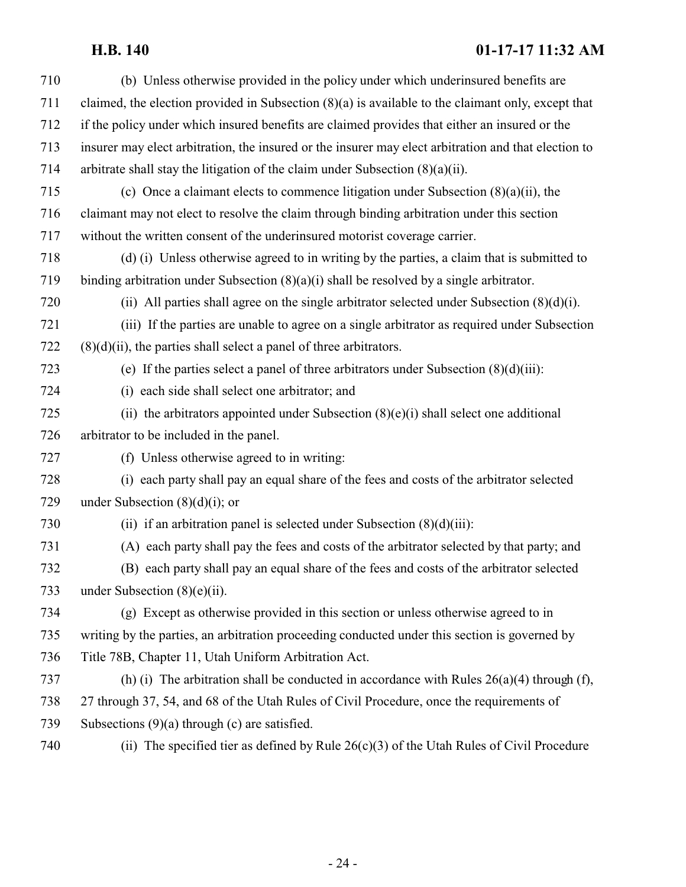| 710 | (b) Unless otherwise provided in the policy under which underinsured benefits are                    |
|-----|------------------------------------------------------------------------------------------------------|
| 711 | claimed, the election provided in Subsection $(8)(a)$ is available to the claimant only, except that |
| 712 | if the policy under which insured benefits are claimed provides that either an insured or the        |
| 713 | insurer may elect arbitration, the insured or the insurer may elect arbitration and that election to |
| 714 | arbitrate shall stay the litigation of the claim under Subsection $(8)(a)(ii)$ .                     |
| 715 | (c) Once a claimant elects to commence litigation under Subsection $(8)(a)(ii)$ , the                |
| 716 | claimant may not elect to resolve the claim through binding arbitration under this section           |
| 717 | without the written consent of the underinsured motorist coverage carrier.                           |
| 718 | (d) (i) Unless otherwise agreed to in writing by the parties, a claim that is submitted to           |
| 719 | binding arbitration under Subsection $(8)(a)(i)$ shall be resolved by a single arbitrator.           |
| 720 | (ii) All parties shall agree on the single arbitrator selected under Subsection $(8)(d)(i)$ .        |
| 721 | (iii) If the parties are unable to agree on a single arbitrator as required under Subsection         |
| 722 | $(8)(d)(ii)$ , the parties shall select a panel of three arbitrators.                                |
| 723 | (e) If the parties select a panel of three arbitrators under Subsection $(8)(d)(iii)$ :              |
| 724 | (i) each side shall select one arbitrator; and                                                       |
| 725 | (ii) the arbitrators appointed under Subsection $(8)(e)(i)$ shall select one additional              |
| 726 | arbitrator to be included in the panel.                                                              |
| 727 | (f) Unless otherwise agreed to in writing:                                                           |
| 728 | (i) each party shall pay an equal share of the fees and costs of the arbitrator selected             |
| 729 | under Subsection $(8)(d)(i)$ ; or                                                                    |
| 730 | (ii) if an arbitration panel is selected under Subsection $(8)(d)(iii)$ :                            |
| 731 | (A) each party shall pay the fees and costs of the arbitrator selected by that party; and            |
| 732 | (B) each party shall pay an equal share of the fees and costs of the arbitrator selected             |
| 733 | under Subsection $(8)(e)(ii)$ .                                                                      |
| 734 | (g) Except as otherwise provided in this section or unless otherwise agreed to in                    |
| 735 | writing by the parties, an arbitration proceeding conducted under this section is governed by        |
| 736 | Title 78B, Chapter 11, Utah Uniform Arbitration Act.                                                 |
| 737 | (h) (i) The arbitration shall be conducted in accordance with Rules $26(a)(4)$ through (f),          |
| 738 | 27 through 37, 54, and 68 of the Utah Rules of Civil Procedure, once the requirements of             |
| 739 | Subsections $(9)(a)$ through (c) are satisfied.                                                      |
|     | $11 \times 1 \times (1)$ $(2) \times 2 \times 2 \times 1 \times 1 \times 1$                          |

(ii) The specified tier as defined by Rule 26(c)(3) of the Utah Rules of Civil Procedure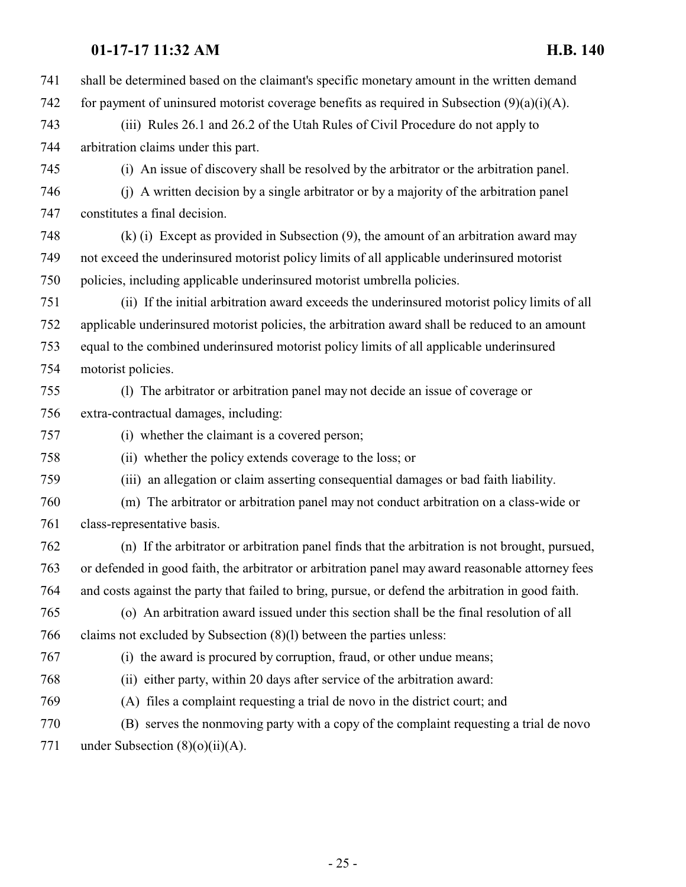| 741 | shall be determined based on the claimant's specific monetary amount in the written demand         |
|-----|----------------------------------------------------------------------------------------------------|
| 742 | for payment of uninsured motorist coverage benefits as required in Subsection $(9)(a)(i)(A)$ .     |
| 743 | (iii) Rules 26.1 and 26.2 of the Utah Rules of Civil Procedure do not apply to                     |
| 744 | arbitration claims under this part.                                                                |
| 745 | (i) An issue of discovery shall be resolved by the arbitrator or the arbitration panel.            |
| 746 | (j) A written decision by a single arbitrator or by a majority of the arbitration panel            |
| 747 | constitutes a final decision.                                                                      |
| 748 | (k) (i) Except as provided in Subsection (9), the amount of an arbitration award may               |
| 749 | not exceed the underinsured motorist policy limits of all applicable underinsured motorist         |
| 750 | policies, including applicable underinsured motorist umbrella policies.                            |
| 751 | (ii) If the initial arbitration award exceeds the underinsured motorist policy limits of all       |
| 752 | applicable underinsured motorist policies, the arbitration award shall be reduced to an amount     |
| 753 | equal to the combined underinsured motorist policy limits of all applicable underinsured           |
| 754 | motorist policies.                                                                                 |
| 755 | (l) The arbitrator or arbitration panel may not decide an issue of coverage or                     |
| 756 | extra-contractual damages, including:                                                              |
| 757 | (i) whether the claimant is a covered person;                                                      |
| 758 | (ii) whether the policy extends coverage to the loss; or                                           |
| 759 | (iii) an allegation or claim asserting consequential damages or bad faith liability.               |
| 760 | (m) The arbitrator or arbitration panel may not conduct arbitration on a class-wide or             |
| 761 | class-representative basis.                                                                        |
| 762 | (n) If the arbitrator or arbitration panel finds that the arbitration is not brought, pursued,     |
| 763 | or defended in good faith, the arbitrator or arbitration panel may award reasonable attorney fees  |
| 764 | and costs against the party that failed to bring, pursue, or defend the arbitration in good faith. |
| 765 | (o) An arbitration award issued under this section shall be the final resolution of all            |
| 766 | claims not excluded by Subsection (8)(1) between the parties unless:                               |
| 767 | (i) the award is procured by corruption, fraud, or other undue means;                              |
| 768 | either party, within 20 days after service of the arbitration award:<br>(ii)                       |
| 769 | (A) files a complaint requesting a trial de novo in the district court; and                        |
| 770 | (B) serves the nonmoving party with a copy of the complaint requesting a trial de novo             |
| 771 | under Subsection $(8)(o)(ii)(A)$ .                                                                 |
|     |                                                                                                    |
|     |                                                                                                    |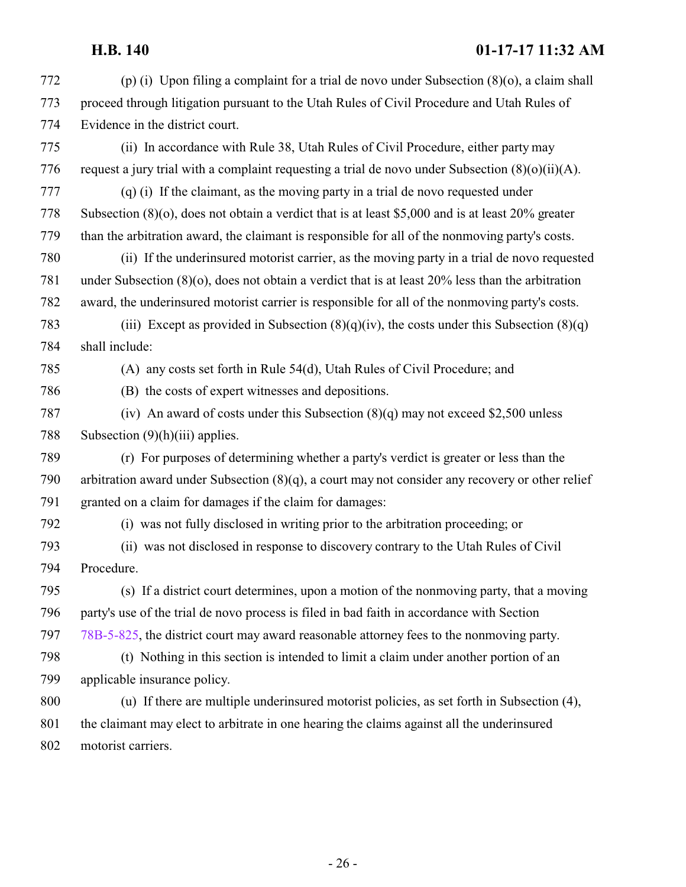(p) (i) Upon filing a complaint for a trial de novo under Subsection (8)(o), a claim shall proceed through litigation pursuant to the Utah Rules of Civil Procedure and Utah Rules of Evidence in the district court. (ii) In accordance with Rule 38, Utah Rules of Civil Procedure, either party may 776 request a jury trial with a complaint requesting a trial de novo under Subsection  $(8)(o)(ii)(A)$ . (q) (i) If the claimant, as the moving party in a trial de novo requested under Subsection (8)(o), does not obtain a verdict that is at least \$5,000 and is at least 20% greater than the arbitration award, the claimant is responsible for all of the nonmoving party's costs. (ii) If the underinsured motorist carrier, as the moving party in a trial de novo requested under Subsection (8)(o), does not obtain a verdict that is at least 20% less than the arbitration award, the underinsured motorist carrier is responsible for all of the nonmoving party's costs. 783 (iii) Except as provided in Subsection  $(8)(q)(iv)$ , the costs under this Subsection  $(8)(q)$  shall include: (A) any costs set forth in Rule 54(d), Utah Rules of Civil Procedure; and (B) the costs of expert witnesses and depositions. (iv) An award of costs under this Subsection (8)(q) may not exceed \$2,500 unless 788 Subsection (9)(h)(iii) applies. (r) For purposes of determining whether a party's verdict is greater or less than the arbitration award under Subsection (8)(q), a court may not consider any recovery or other relief granted on a claim for damages if the claim for damages: (i) was not fully disclosed in writing prior to the arbitration proceeding; or (ii) was not disclosed in response to discovery contrary to the Utah Rules of Civil Procedure. (s) If a district court determines, upon a motion of the nonmoving party, that a moving party's use of the trial de novo process is filed in bad faith in accordance with Section [78B-5-825](http://le.utah.gov/UtahCode/SectionLookup.jsp?section=78b-5-825&session=2017GS), the district court may award reasonable attorney fees to the nonmoving party. (t) Nothing in this section is intended to limit a claim under another portion of an applicable insurance policy. (u) If there are multiple underinsured motorist policies, as set forth in Subsection (4), the claimant may elect to arbitrate in one hearing the claims against all the underinsured motorist carriers.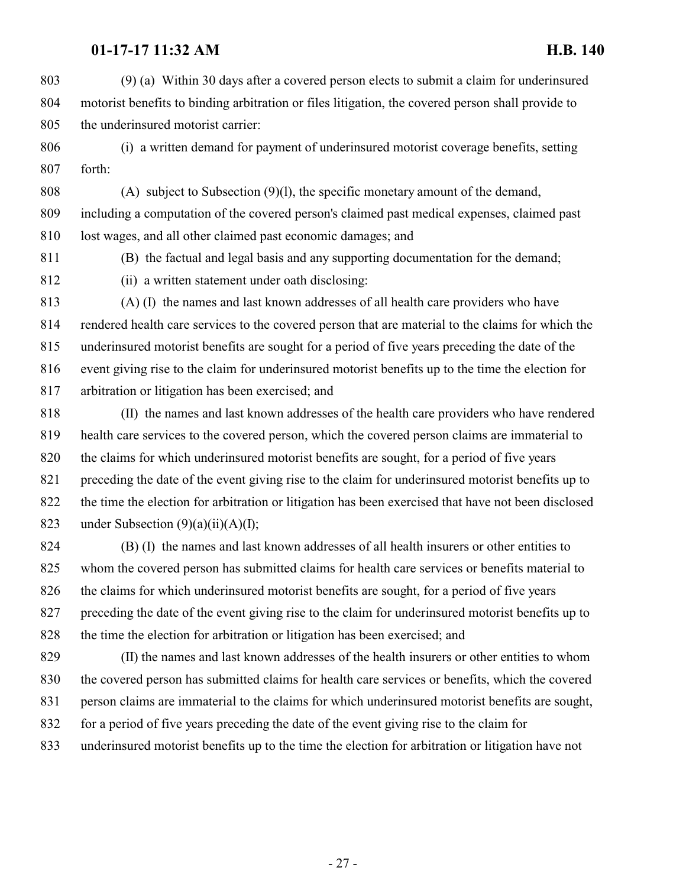(9) (a) Within 30 days after a covered person elects to submit a claim for underinsured motorist benefits to binding arbitration or files litigation, the covered person shall provide to the underinsured motorist carrier:

 (i) a written demand for payment of underinsured motorist coverage benefits, setting forth:

 (A) subject to Subsection (9)(l), the specific monetary amount of the demand, including a computation of the covered person's claimed past medical expenses, claimed past lost wages, and all other claimed past economic damages; and

(B) the factual and legal basis and any supporting documentation for the demand;

(ii) a written statement under oath disclosing:

 (A) (I) the names and last known addresses of all health care providers who have rendered health care services to the covered person that are material to the claims for which the underinsured motorist benefits are sought for a period of five years preceding the date of the event giving rise to the claim for underinsured motorist benefits up to the time the election for arbitration or litigation has been exercised; and

 (II) the names and last known addresses of the health care providers who have rendered health care services to the covered person, which the covered person claims are immaterial to the claims for which underinsured motorist benefits are sought, for a period of five years preceding the date of the event giving rise to the claim for underinsured motorist benefits up to the time the election for arbitration or litigation has been exercised that have not been disclosed 823 under Subsection  $(9)(a)(ii)(A)(I);$ 

 (B) (I) the names and last known addresses of all health insurers or other entities to whom the covered person has submitted claims for health care services or benefits material to the claims for which underinsured motorist benefits are sought, for a period of five years preceding the date of the event giving rise to the claim for underinsured motorist benefits up to the time the election for arbitration or litigation has been exercised; and

 (II) the names and last known addresses of the health insurers or other entities to whom the covered person has submitted claims for health care services or benefits, which the covered person claims are immaterial to the claims for which underinsured motorist benefits are sought, for a period of five years preceding the date of the event giving rise to the claim for

underinsured motorist benefits up to the time the election for arbitration or litigation have not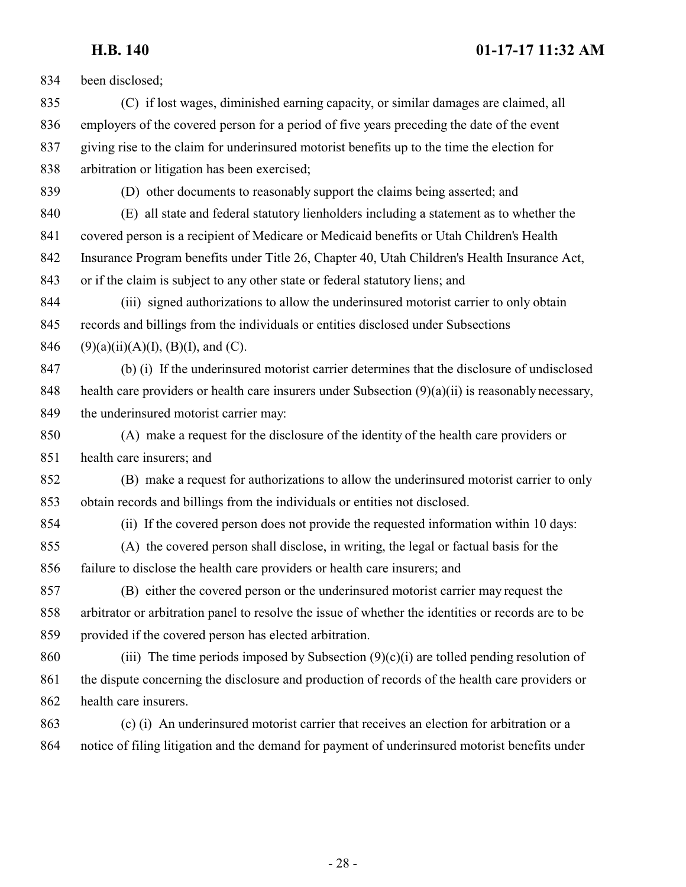been disclosed; (C) if lost wages, diminished earning capacity, or similar damages are claimed, all employers of the covered person for a period of five years preceding the date of the event giving rise to the claim for underinsured motorist benefits up to the time the election for arbitration or litigation has been exercised; (D) other documents to reasonably support the claims being asserted; and (E) all state and federal statutory lienholders including a statement as to whether the covered person is a recipient of Medicare or Medicaid benefits or Utah Children's Health Insurance Program benefits under Title 26, Chapter 40, Utah Children's Health Insurance Act, or if the claim is subject to any other state or federal statutory liens; and (iii) signed authorizations to allow the underinsured motorist carrier to only obtain records and billings from the individuals or entities disclosed under Subsections 846 (9)(a)(ii)(A)(I), (B)(I), and (C). (b) (i) If the underinsured motorist carrier determines that the disclosure of undisclosed health care providers or health care insurers under Subsection (9)(a)(ii) is reasonably necessary, 849 the underinsured motorist carrier may: (A) make a request for the disclosure of the identity of the health care providers or health care insurers; and (B) make a request for authorizations to allow the underinsured motorist carrier to only obtain records and billings from the individuals or entities not disclosed. (ii) If the covered person does not provide the requested information within 10 days: (A) the covered person shall disclose, in writing, the legal or factual basis for the failure to disclose the health care providers or health care insurers; and (B) either the covered person or the underinsured motorist carrier may request the arbitrator or arbitration panel to resolve the issue of whether the identities or records are to be provided if the covered person has elected arbitration. 860 (iii) The time periods imposed by Subsection  $(9)(c)(i)$  are tolled pending resolution of the dispute concerning the disclosure and production of records of the health care providers or health care insurers. (c) (i) An underinsured motorist carrier that receives an election for arbitration or a notice of filing litigation and the demand for payment of underinsured motorist benefits under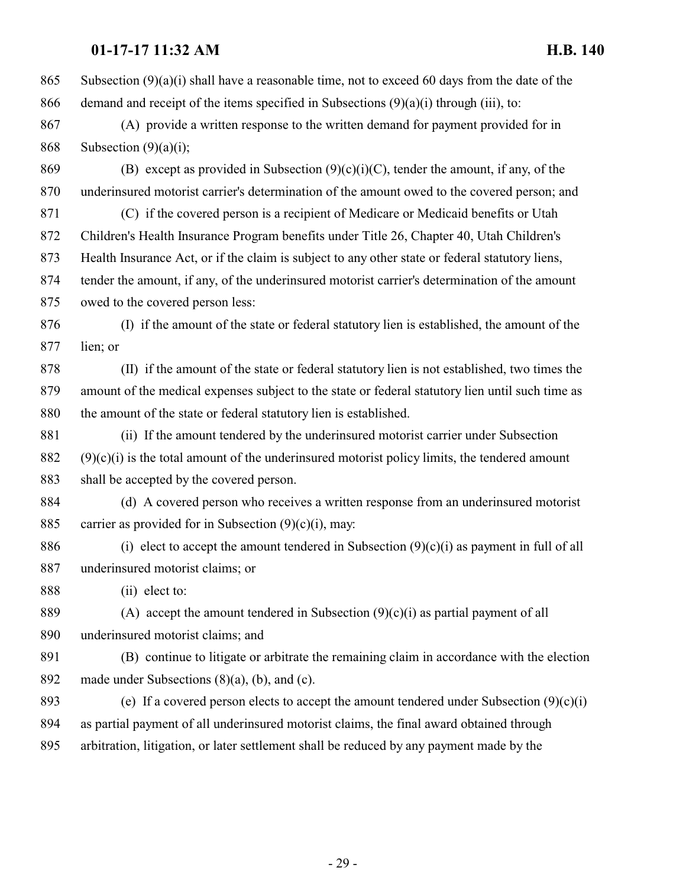Subsection (9)(a)(i) shall have a reasonable time, not to exceed 60 days from the date of the 866 demand and receipt of the items specified in Subsections  $(9)(a)(i)$  through (iii), to: (A) provide a written response to the written demand for payment provided for in 868 Subsection  $(9)(a)(i)$ ; 869 (B) except as provided in Subsection  $(9)(c)(i)(C)$ , tender the amount, if any, of the underinsured motorist carrier's determination of the amount owed to the covered person; and (C) if the covered person is a recipient of Medicare or Medicaid benefits or Utah Children's Health Insurance Program benefits under Title 26, Chapter 40, Utah Children's Health Insurance Act, or if the claim is subject to any other state or federal statutory liens, tender the amount, if any, of the underinsured motorist carrier's determination of the amount owed to the covered person less: (I) if the amount of the state or federal statutory lien is established, the amount of the lien; or (II) if the amount of the state or federal statutory lien is not established, two times the amount of the medical expenses subject to the state or federal statutory lien until such time as the amount of the state or federal statutory lien is established. (ii) If the amount tendered by the underinsured motorist carrier under Subsection (9)(c)(i) is the total amount of the underinsured motorist policy limits, the tendered amount shall be accepted by the covered person. (d) A covered person who receives a written response from an underinsured motorist 885 carrier as provided for in Subsection  $(9)(c)(i)$ , may: 886 (i) elect to accept the amount tendered in Subsection  $(9)(c)(i)$  as payment in full of all underinsured motorist claims; or (ii) elect to: 889 (A) accept the amount tendered in Subsection  $(9)(c)(i)$  as partial payment of all underinsured motorist claims; and (B) continue to litigate or arbitrate the remaining claim in accordance with the election made under Subsections (8)(a), (b), and (c). 893 (e) If a covered person elects to accept the amount tendered under Subsection  $(9)(c)(i)$  as partial payment of all underinsured motorist claims, the final award obtained through arbitration, litigation, or later settlement shall be reduced by any payment made by the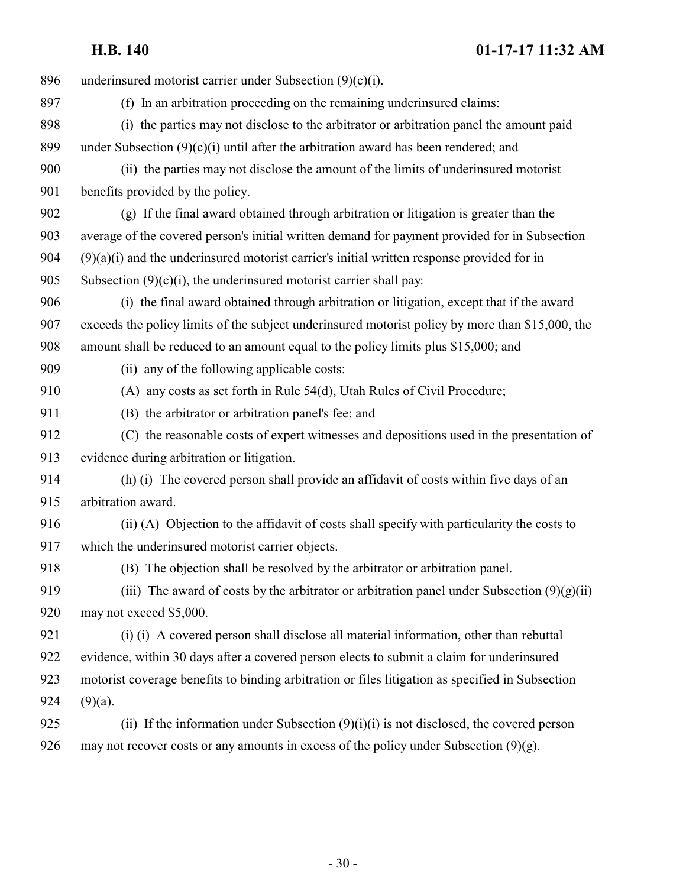underinsured motorist carrier under Subsection (9)(c)(i). (f) In an arbitration proceeding on the remaining underinsured claims: (i) the parties may not disclose to the arbitrator or arbitration panel the amount paid under Subsection (9)(c)(i) until after the arbitration award has been rendered; and (ii) the parties may not disclose the amount of the limits of underinsured motorist benefits provided by the policy. (g) If the final award obtained through arbitration or litigation is greater than the average of the covered person's initial written demand for payment provided for in Subsection (9)(a)(i) and the underinsured motorist carrier's initial written response provided for in 905 Subsection  $(9)(c)(i)$ , the underinsured motorist carrier shall pay: (i) the final award obtained through arbitration or litigation, except that if the award exceeds the policy limits of the subject underinsured motorist policy by more than \$15,000, the amount shall be reduced to an amount equal to the policy limits plus \$15,000; and (ii) any of the following applicable costs: (A) any costs as set forth in Rule 54(d), Utah Rules of Civil Procedure; (B) the arbitrator or arbitration panel's fee; and (C) the reasonable costs of expert witnesses and depositions used in the presentation of evidence during arbitration or litigation. (h) (i) The covered person shall provide an affidavit of costs within five days of an arbitration award. (ii) (A) Objection to the affidavit of costs shall specify with particularity the costs to which the underinsured motorist carrier objects. (B) The objection shall be resolved by the arbitrator or arbitration panel. 919 (iii) The award of costs by the arbitrator or arbitration panel under Subsection  $(9)(g)(ii)$  may not exceed \$5,000. (i) (i) A covered person shall disclose all material information, other than rebuttal evidence, within 30 days after a covered person elects to submit a claim for underinsured motorist coverage benefits to binding arbitration or files litigation as specified in Subsection (9)(a). 925 (ii) If the information under Subsection  $(9)(i)(i)$  is not disclosed, the covered person 926 may not recover costs or any amounts in excess of the policy under Subsection  $(9)(g)$ .